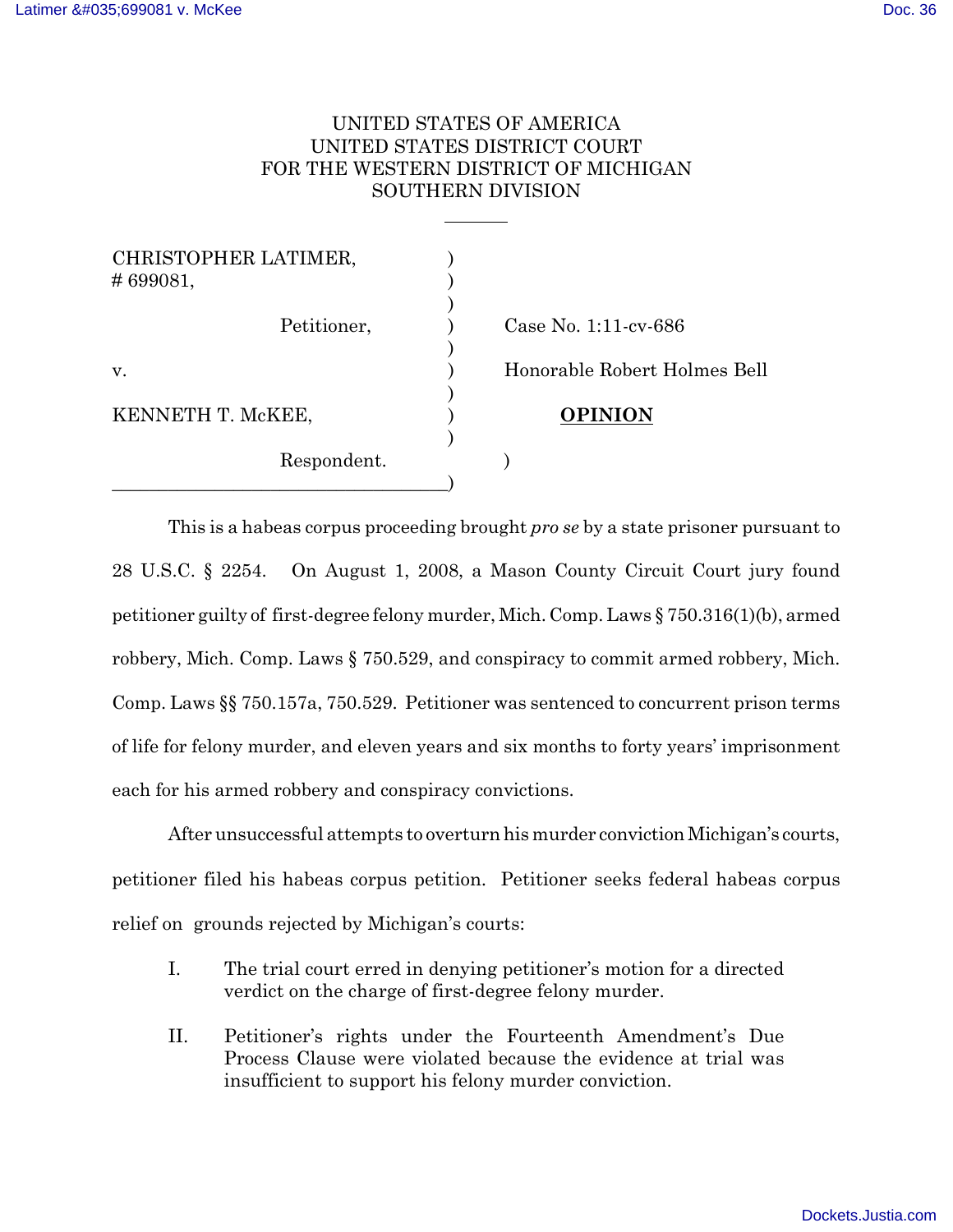# UNITED STATES OF AMERICA UNITED STATES DISTRICT COURT FOR THE WESTERN DISTRICT OF MICHIGAN SOUTHERN DIVISION

| CHRISTOPHER LATIMER,<br>#699081, |                              |
|----------------------------------|------------------------------|
| Petitioner,                      | Case No. $1:11$ -cv-686      |
| V.                               | Honorable Robert Holmes Bell |
| KENNETH T. McKEE,                | <b>OPINION</b>               |
| Respondent.                      |                              |

 $\overline{a}$ 

This is a habeas corpus proceeding brought *pro se* by a state prisoner pursuant to 28 U.S.C. § 2254. On August 1, 2008, a Mason County Circuit Court jury found petitioner guilty of first-degree felony murder, Mich. Comp. Laws § 750.316(1)(b), armed robbery, Mich. Comp. Laws § 750.529, and conspiracy to commit armed robbery, Mich. Comp. Laws §§ 750.157a, 750.529. Petitioner was sentenced to concurrent prison terms of life for felony murder, and eleven years and six months to forty years' imprisonment each for his armed robbery and conspiracy convictions.

After unsuccessful attempts to overturn his murder conviction Michigan's courts, petitioner filed his habeas corpus petition. Petitioner seeks federal habeas corpus relief on grounds rejected by Michigan's courts:

- I. The trial court erred in denying petitioner's motion for a directed verdict on the charge of first-degree felony murder.
- II. Petitioner's rights under the Fourteenth Amendment's Due Process Clause were violated because the evidence at trial was insufficient to support his felony murder conviction.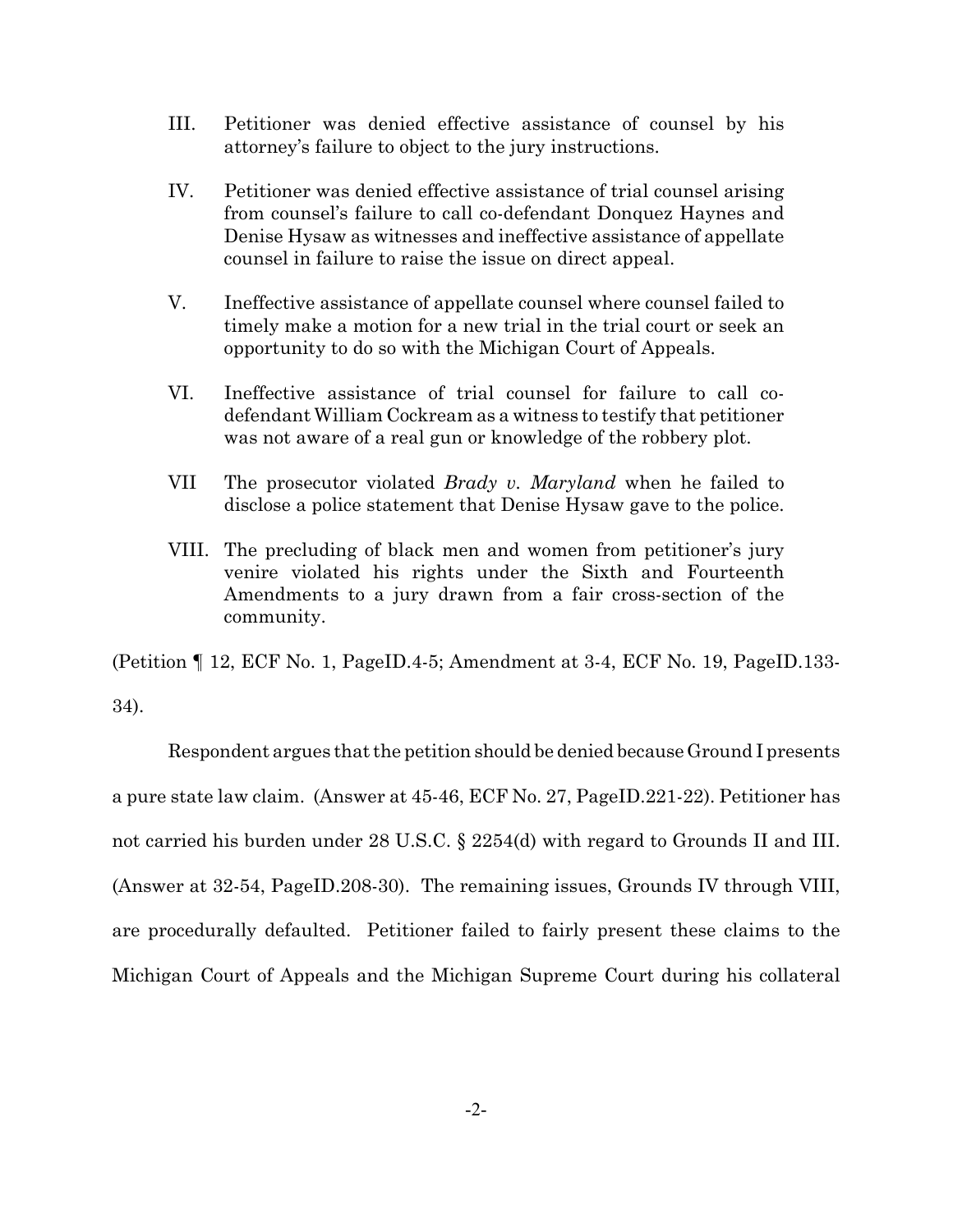- III. Petitioner was denied effective assistance of counsel by his attorney's failure to object to the jury instructions.
- IV. Petitioner was denied effective assistance of trial counsel arising from counsel's failure to call co-defendant Donquez Haynes and Denise Hysaw as witnesses and ineffective assistance of appellate counsel in failure to raise the issue on direct appeal.
- V. Ineffective assistance of appellate counsel where counsel failed to timely make a motion for a new trial in the trial court or seek an opportunity to do so with the Michigan Court of Appeals.
- VI. Ineffective assistance of trial counsel for failure to call codefendant William Cockream as a witness to testify that petitioner was not aware of a real gun or knowledge of the robbery plot.
- VII The prosecutor violated *Brady v. Maryland* when he failed to disclose a police statement that Denise Hysaw gave to the police.
- VIII. The precluding of black men and women from petitioner's jury venire violated his rights under the Sixth and Fourteenth Amendments to a jury drawn from a fair cross-section of the community.

(Petition ¶ 12, ECF No. 1, PageID.4-5; Amendment at 3-4, ECF No. 19, PageID.133- 34).

Respondent argues that the petition should be denied because Ground I presents a pure state law claim. (Answer at 45-46, ECF No. 27, PageID.221-22). Petitioner has not carried his burden under 28 U.S.C. § 2254(d) with regard to Grounds II and III. (Answer at 32-54, PageID.208-30). The remaining issues, Grounds IV through VIII, are procedurally defaulted. Petitioner failed to fairly present these claims to the Michigan Court of Appeals and the Michigan Supreme Court during his collateral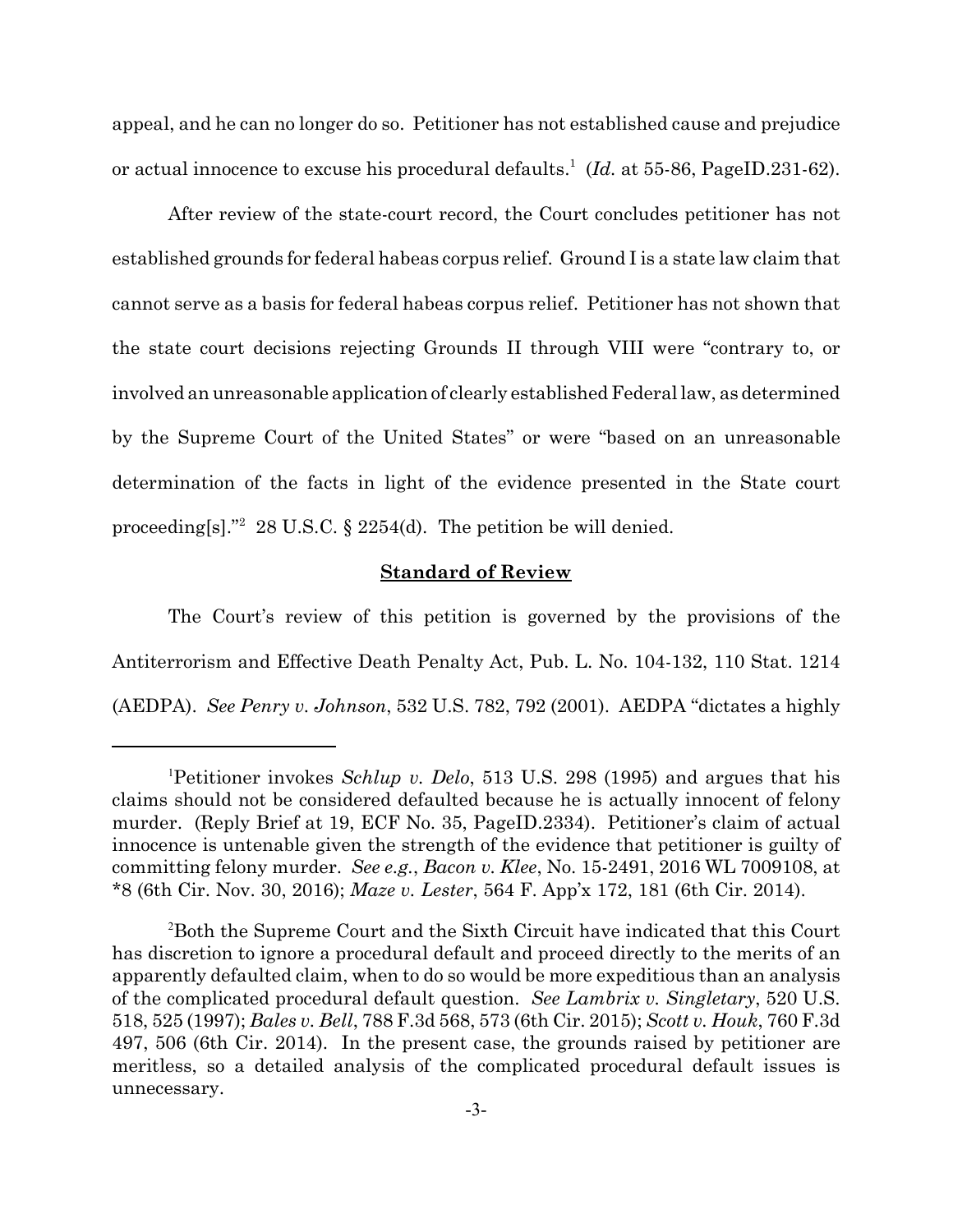appeal, and he can no longer do so. Petitioner has not established cause and prejudice or actual innocence to excuse his procedural defaults.<sup>1</sup> (Id. at 55-86, PageID.231-62).

After review of the state-court record, the Court concludes petitioner has not established grounds for federal habeas corpus relief. Ground I is a state law claim that cannot serve as a basis for federal habeas corpus relief. Petitioner has not shown that the state court decisions rejecting Grounds II through VIII were "contrary to, or involved an unreasonable application of clearly established Federal law, as determined by the Supreme Court of the United States" or were "based on an unreasonable determination of the facts in light of the evidence presented in the State court proceeding[s]."<sup>2</sup> 28 U.S.C.  $\S$  2254(d). The petition be will denied.

## **Standard of Review**

The Court's review of this petition is governed by the provisions of the Antiterrorism and Effective Death Penalty Act, Pub. L. No. 104-132, 110 Stat. 1214 (AEDPA). *See Penry v. Johnson*, 532 U.S. 782, 792 (2001). AEDPA "dictates a highly

<sup>1</sup>Petitioner invokes *Schlup v. Delo*, 513 U.S. 298 (1995) and argues that his claims should not be considered defaulted because he is actually innocent of felony murder. (Reply Brief at 19, ECF No. 35, PageID.2334). Petitioner's claim of actual innocence is untenable given the strength of the evidence that petitioner is guilty of committing felony murder. *See e.g.*, *Bacon v. Klee*, No. 15-2491, 2016 WL 7009108, at \*8 (6th Cir. Nov. 30, 2016); *Maze v. Lester*, 564 F. App'x 172, 181 (6th Cir. 2014).

<sup>2</sup>Both the Supreme Court and the Sixth Circuit have indicated that this Court has discretion to ignore a procedural default and proceed directly to the merits of an apparently defaulted claim, when to do so would be more expeditious than an analysis of the complicated procedural default question. *See Lambrix v. Singletary*, 520 U.S. 518, 525 (1997); *Bales v. Bell*, 788 F.3d 568, 573 (6th Cir. 2015); *Scott v. Houk*, 760 F.3d 497, 506 (6th Cir. 2014). In the present case, the grounds raised by petitioner are meritless, so a detailed analysis of the complicated procedural default issues is unnecessary.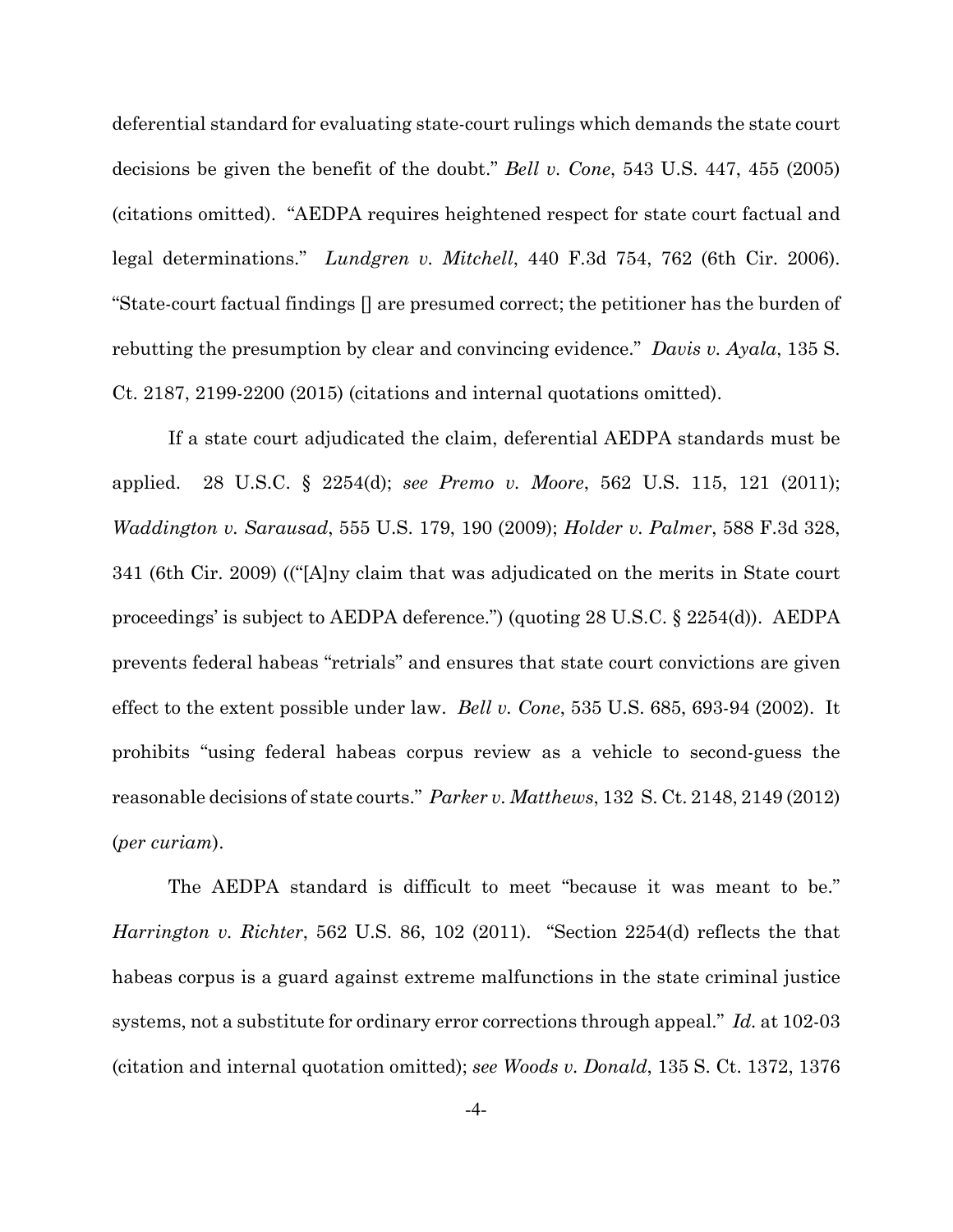deferential standard for evaluating state-court rulings which demands the state court decisions be given the benefit of the doubt." *Bell v. Cone*, 543 U.S. 447, 455 (2005) (citations omitted). "AEDPA requires heightened respect for state court factual and legal determinations." *Lundgren v. Mitchell*, 440 F.3d 754, 762 (6th Cir. 2006). "State-court factual findings [] are presumed correct; the petitioner has the burden of rebutting the presumption by clear and convincing evidence." *Davis v. Ayala*, 135 S. Ct. 2187, 2199-2200 (2015) (citations and internal quotations omitted).

If a state court adjudicated the claim, deferential AEDPA standards must be applied. 28 U.S.C. § 2254(d); *see Premo v. Moore*, 562 U.S. 115, 121 (2011); *Waddington v. Sarausad*, 555 U.S. 179, 190 (2009); *Holder v. Palmer*, 588 F.3d 328, 341 (6th Cir. 2009) (("[A]ny claim that was adjudicated on the merits in State court proceedings' is subject to AEDPA deference.") (quoting 28 U.S.C. § 2254(d)). AEDPA prevents federal habeas "retrials" and ensures that state court convictions are given effect to the extent possible under law. *Bell v. Cone*, 535 U.S. 685, 693-94 (2002). It prohibits "using federal habeas corpus review as a vehicle to second-guess the reasonable decisions of state courts." *Parker v. Matthews*, 132 S. Ct. 2148, 2149 (2012) (*per curiam*).

The AEDPA standard is difficult to meet "because it was meant to be." *Harrington v. Richter*, 562 U.S. 86, 102 (2011). "Section 2254(d) reflects the that habeas corpus is a guard against extreme malfunctions in the state criminal justice systems, not a substitute for ordinary error corrections through appeal." *Id.* at 102-03 (citation and internal quotation omitted); *see Woods v. Donald*, 135 S. Ct. 1372, 1376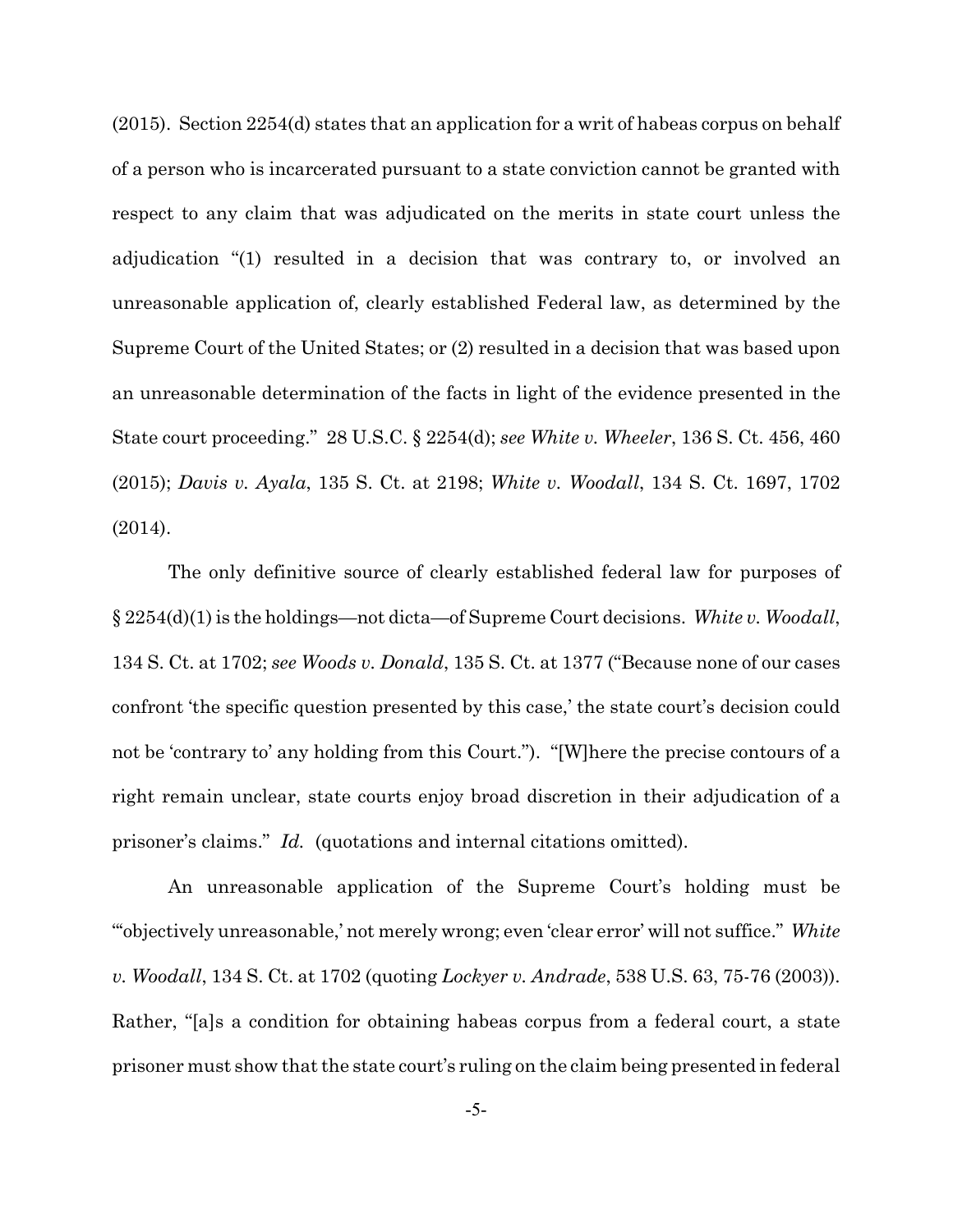(2015). Section 2254(d) states that an application for a writ of habeas corpus on behalf of a person who is incarcerated pursuant to a state conviction cannot be granted with respect to any claim that was adjudicated on the merits in state court unless the adjudication "(1) resulted in a decision that was contrary to, or involved an unreasonable application of, clearly established Federal law, as determined by the Supreme Court of the United States; or (2) resulted in a decision that was based upon an unreasonable determination of the facts in light of the evidence presented in the State court proceeding." 28 U.S.C. § 2254(d); *see White v. Wheeler*, 136 S. Ct. 456, 460 (2015); *Davis v. Ayala*, 135 S. Ct. at 2198; *White v. Woodall*, 134 S. Ct. 1697, 1702 (2014).

The only definitive source of clearly established federal law for purposes of § 2254(d)(1) is the holdings—not dicta—of Supreme Court decisions. *White v. Woodall*, 134 S. Ct. at 1702; *see Woods v. Donald*, 135 S. Ct. at 1377 ("Because none of our cases confront 'the specific question presented by this case,' the state court's decision could not be 'contrary to' any holding from this Court."). "[W]here the precise contours of a right remain unclear, state courts enjoy broad discretion in their adjudication of a prisoner's claims." *Id.* (quotations and internal citations omitted).

An unreasonable application of the Supreme Court's holding must be "'objectively unreasonable,' not merely wrong; even 'clear error' will not suffice." *White v. Woodall*, 134 S. Ct. at 1702 (quoting *Lockyer v. Andrade*, 538 U.S. 63, 75-76 (2003)). Rather, "[a]s a condition for obtaining habeas corpus from a federal court, a state prisoner must show that the state court's ruling on the claim being presented in federal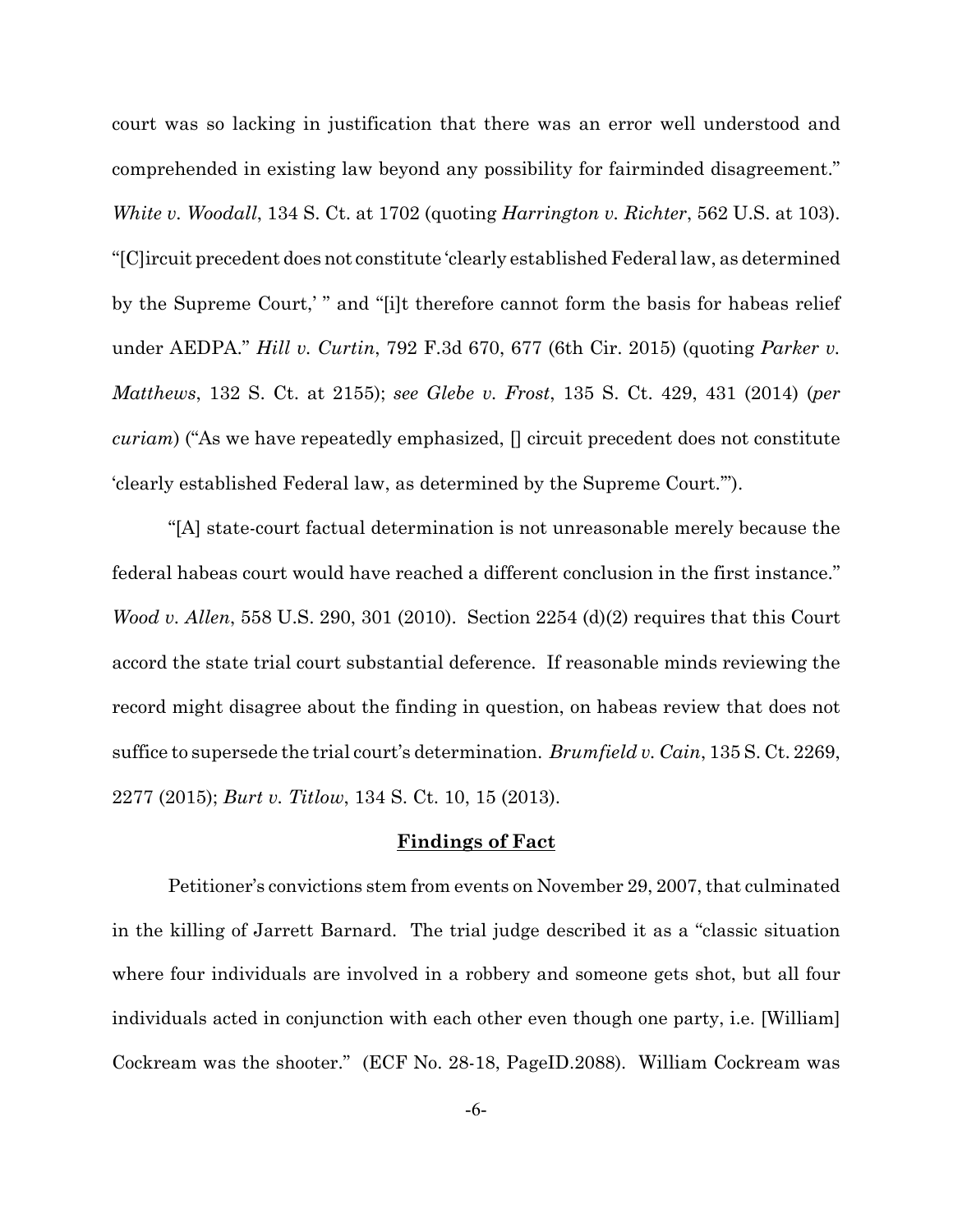court was so lacking in justification that there was an error well understood and comprehended in existing law beyond any possibility for fairminded disagreement." *White v. Woodall*, 134 S. Ct. at 1702 (quoting *Harrington v. Richter*, 562 U.S. at 103). "[C]ircuit precedent does not constitute 'clearly established Federal law, as determined by the Supreme Court,' " and "[i]t therefore cannot form the basis for habeas relief under AEDPA." *Hill v. Curtin*, 792 F.3d 670, 677 (6th Cir. 2015) (quoting *Parker v. Matthews*, 132 S. Ct. at 2155); *see Glebe v. Frost*, 135 S. Ct. 429, 431 (2014) (*per curiam*) ("As we have repeatedly emphasized, [] circuit precedent does not constitute 'clearly established Federal law, as determined by the Supreme Court.'").

"[A] state-court factual determination is not unreasonable merely because the federal habeas court would have reached a different conclusion in the first instance." *Wood v. Allen*, 558 U.S. 290, 301 (2010). Section 2254 (d)(2) requires that this Court accord the state trial court substantial deference. If reasonable minds reviewing the record might disagree about the finding in question, on habeas review that does not suffice to supersede the trial court's determination. *Brumfield v. Cain*, 135 S. Ct. 2269, 2277 (2015); *Burt v. Titlow*, 134 S. Ct. 10, 15 (2013).

#### **Findings of Fact**

Petitioner's convictions stem from events on November 29, 2007, that culminated in the killing of Jarrett Barnard. The trial judge described it as a "classic situation where four individuals are involved in a robbery and someone gets shot, but all four individuals acted in conjunction with each other even though one party, i.e. [William] Cockream was the shooter." (ECF No. 28-18, PageID.2088). William Cockream was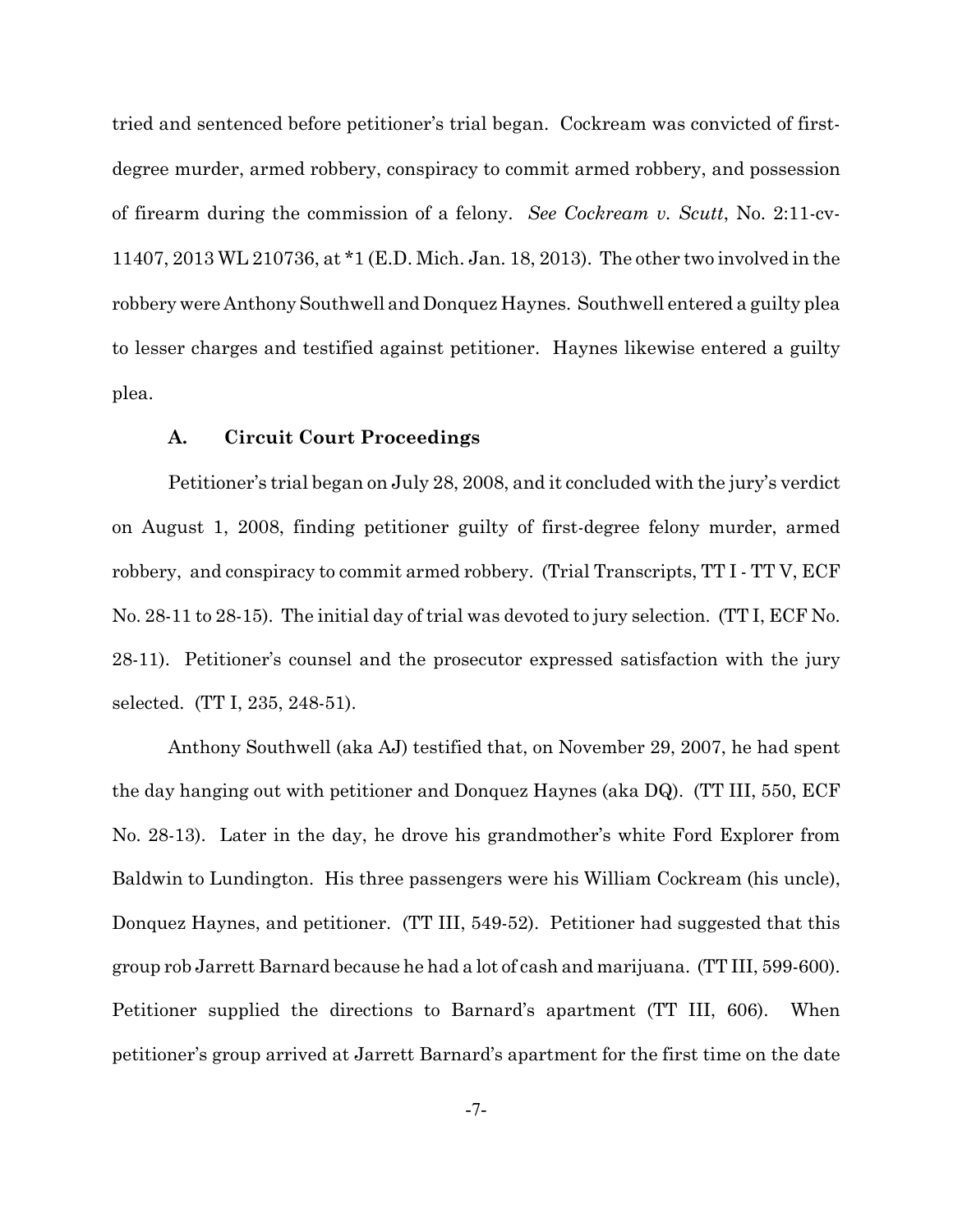tried and sentenced before petitioner's trial began. Cockream was convicted of firstdegree murder, armed robbery, conspiracy to commit armed robbery, and possession of firearm during the commission of a felony. *See Cockream v. Scutt*, No. 2:11-cv-11407, 2013 WL 210736, at \*1 (E.D. Mich. Jan. 18, 2013). The other two involved in the robbery were Anthony Southwell and Donquez Haynes. Southwell entered a guilty plea to lesser charges and testified against petitioner. Haynes likewise entered a guilty plea.

## **A. Circuit Court Proceedings**

Petitioner's trial began on July 28, 2008, and it concluded with the jury's verdict on August 1, 2008, finding petitioner guilty of first-degree felony murder, armed robbery, and conspiracy to commit armed robbery. (Trial Transcripts, TT I - TT V, ECF No. 28-11 to 28-15). The initial day of trial was devoted to jury selection. (TT I, ECF No. 28-11). Petitioner's counsel and the prosecutor expressed satisfaction with the jury selected. (TT I, 235, 248-51).

Anthony Southwell (aka AJ) testified that, on November 29, 2007, he had spent the day hanging out with petitioner and Donquez Haynes (aka DQ). (TT III, 550, ECF No. 28-13). Later in the day, he drove his grandmother's white Ford Explorer from Baldwin to Lundington. His three passengers were his William Cockream (his uncle), Donquez Haynes, and petitioner. (TT III, 549-52). Petitioner had suggested that this group rob Jarrett Barnard because he had a lot of cash and marijuana. (TT III, 599-600). Petitioner supplied the directions to Barnard's apartment (TT III, 606). When petitioner's group arrived at Jarrett Barnard's apartment for the first time on the date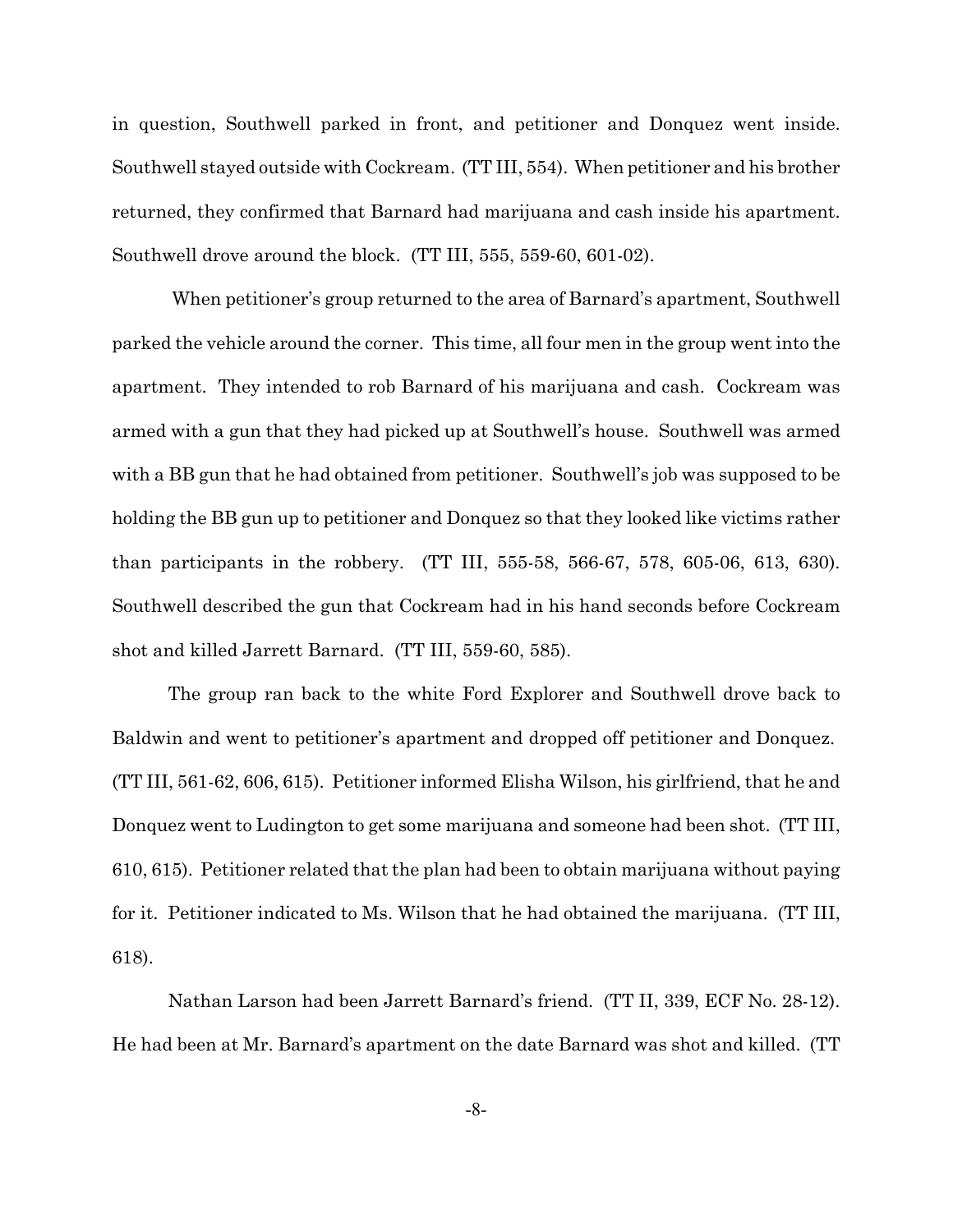in question, Southwell parked in front, and petitioner and Donquez went inside. Southwell stayed outside with Cockream. (TT III, 554). When petitioner and his brother returned, they confirmed that Barnard had marijuana and cash inside his apartment. Southwell drove around the block. (TT III, 555, 559-60, 601-02).

 When petitioner's group returned to the area of Barnard's apartment, Southwell parked the vehicle around the corner. This time, all four men in the group went into the apartment. They intended to rob Barnard of his marijuana and cash. Cockream was armed with a gun that they had picked up at Southwell's house. Southwell was armed with a BB gun that he had obtained from petitioner. Southwell's job was supposed to be holding the BB gun up to petitioner and Donquez so that they looked like victims rather than participants in the robbery. (TT III, 555-58, 566-67, 578, 605-06, 613, 630). Southwell described the gun that Cockream had in his hand seconds before Cockream shot and killed Jarrett Barnard. (TT III, 559-60, 585).

The group ran back to the white Ford Explorer and Southwell drove back to Baldwin and went to petitioner's apartment and dropped off petitioner and Donquez. (TT III, 561-62, 606, 615). Petitioner informed Elisha Wilson, his girlfriend, that he and Donquez went to Ludington to get some marijuana and someone had been shot. (TT III, 610, 615). Petitioner related that the plan had been to obtain marijuana without paying for it. Petitioner indicated to Ms. Wilson that he had obtained the marijuana. (TT III, 618).

Nathan Larson had been Jarrett Barnard's friend. (TT II, 339, ECF No. 28-12). He had been at Mr. Barnard's apartment on the date Barnard was shot and killed. (TT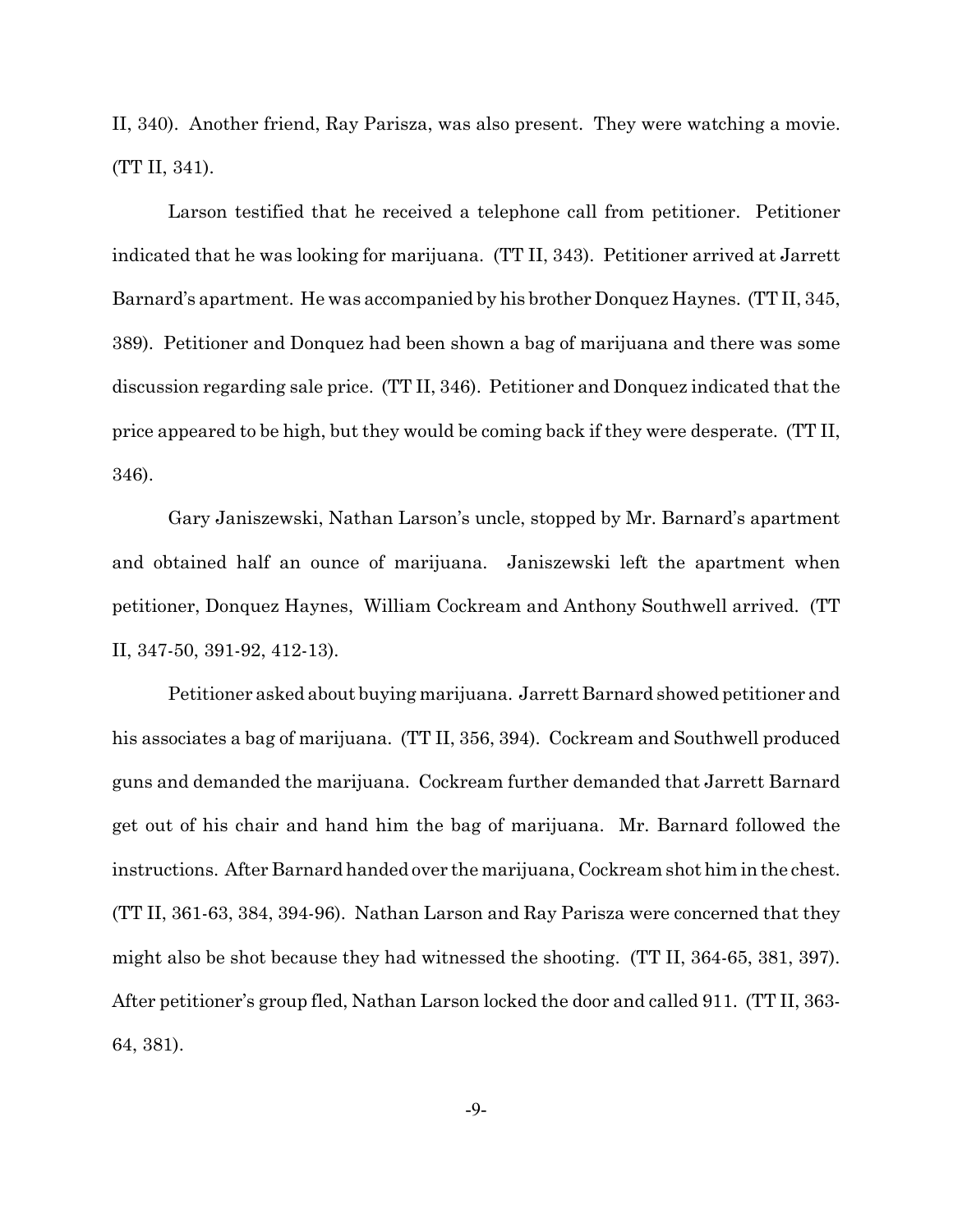II, 340). Another friend, Ray Parisza, was also present. They were watching a movie. (TT II, 341).

Larson testified that he received a telephone call from petitioner. Petitioner indicated that he was looking for marijuana. (TT II, 343). Petitioner arrived at Jarrett Barnard's apartment. He was accompanied by his brother Donquez Haynes. (TT II, 345, 389). Petitioner and Donquez had been shown a bag of marijuana and there was some discussion regarding sale price. (TT II, 346). Petitioner and Donquez indicated that the price appeared to be high, but they would be coming back if they were desperate. (TT II, 346).

Gary Janiszewski, Nathan Larson's uncle, stopped by Mr. Barnard's apartment and obtained half an ounce of marijuana. Janiszewski left the apartment when petitioner, Donquez Haynes, William Cockream and Anthony Southwell arrived. (TT II, 347-50, 391-92, 412-13).

Petitioner asked about buying marijuana. Jarrett Barnard showed petitioner and his associates a bag of marijuana. (TT II, 356, 394). Cockream and Southwell produced guns and demanded the marijuana. Cockream further demanded that Jarrett Barnard get out of his chair and hand him the bag of marijuana. Mr. Barnard followed the instructions. After Barnard handed over the marijuana, Cockream shot him in the chest. (TT II, 361-63, 384, 394-96). Nathan Larson and Ray Parisza were concerned that they might also be shot because they had witnessed the shooting. (TT II, 364-65, 381, 397). After petitioner's group fled, Nathan Larson locked the door and called 911. (TT II, 363- 64, 381).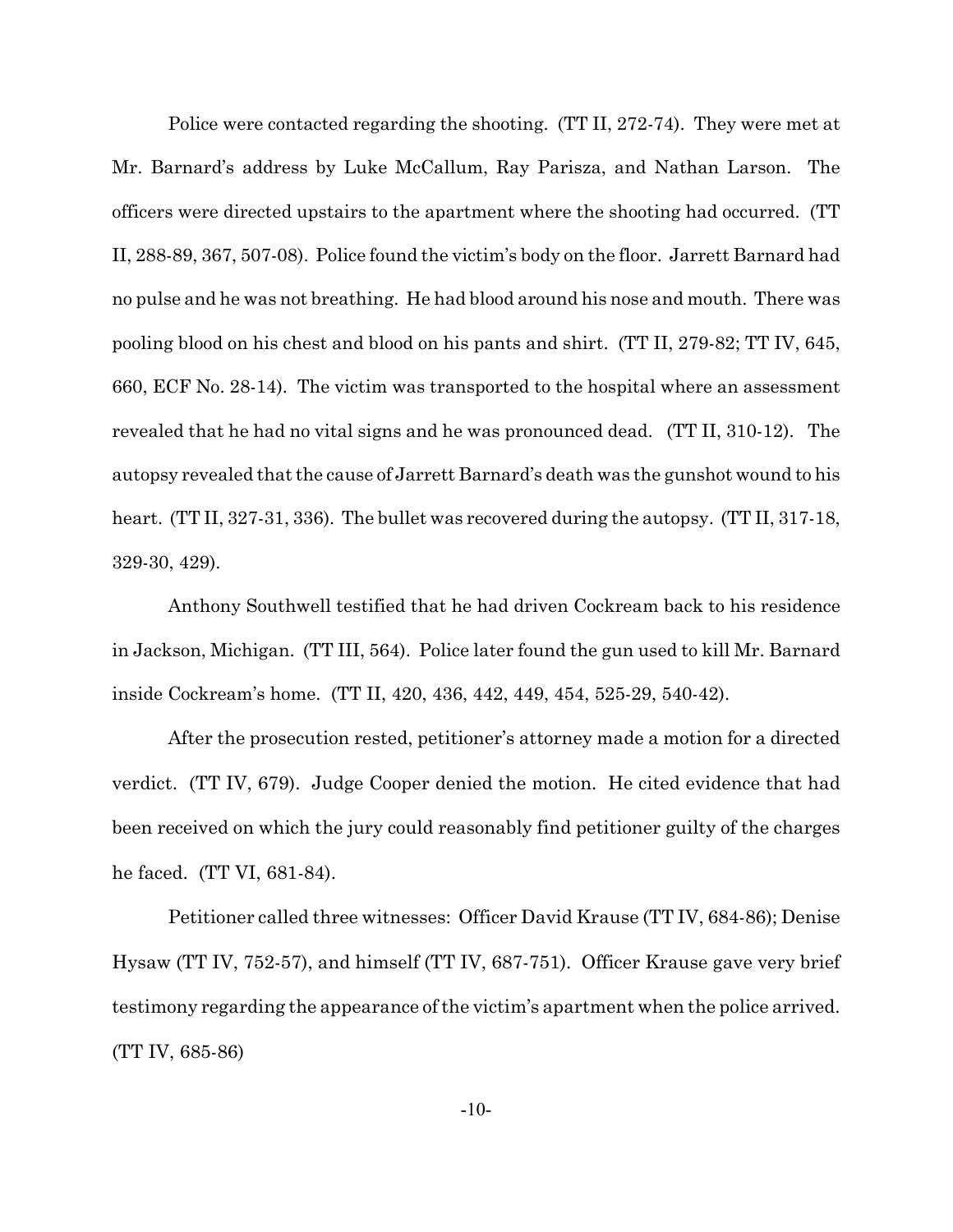Police were contacted regarding the shooting. (TT II, 272-74). They were met at Mr. Barnard's address by Luke McCallum, Ray Parisza, and Nathan Larson. The officers were directed upstairs to the apartment where the shooting had occurred. (TT II, 288-89, 367, 507-08). Police found the victim's body on the floor. Jarrett Barnard had no pulse and he was not breathing. He had blood around his nose and mouth. There was pooling blood on his chest and blood on his pants and shirt. (TT II, 279-82; TT IV, 645, 660, ECF No. 28-14). The victim was transported to the hospital where an assessment revealed that he had no vital signs and he was pronounced dead. (TT II, 310-12). The autopsy revealed that the cause of Jarrett Barnard's death was the gunshot wound to his heart. (TT II, 327-31, 336). The bullet was recovered during the autopsy. (TT II, 317-18, 329-30, 429).

Anthony Southwell testified that he had driven Cockream back to his residence in Jackson, Michigan. (TT III, 564). Police later found the gun used to kill Mr. Barnard inside Cockream's home. (TT II, 420, 436, 442, 449, 454, 525-29, 540-42).

After the prosecution rested, petitioner's attorney made a motion for a directed verdict. (TT IV, 679). Judge Cooper denied the motion. He cited evidence that had been received on which the jury could reasonably find petitioner guilty of the charges he faced. (TT VI, 681-84).

Petitioner called three witnesses: Officer David Krause (TT IV, 684-86); Denise Hysaw (TT IV, 752-57), and himself (TT IV, 687-751). Officer Krause gave very brief testimony regarding the appearance of the victim's apartment when the police arrived. (TT IV, 685-86)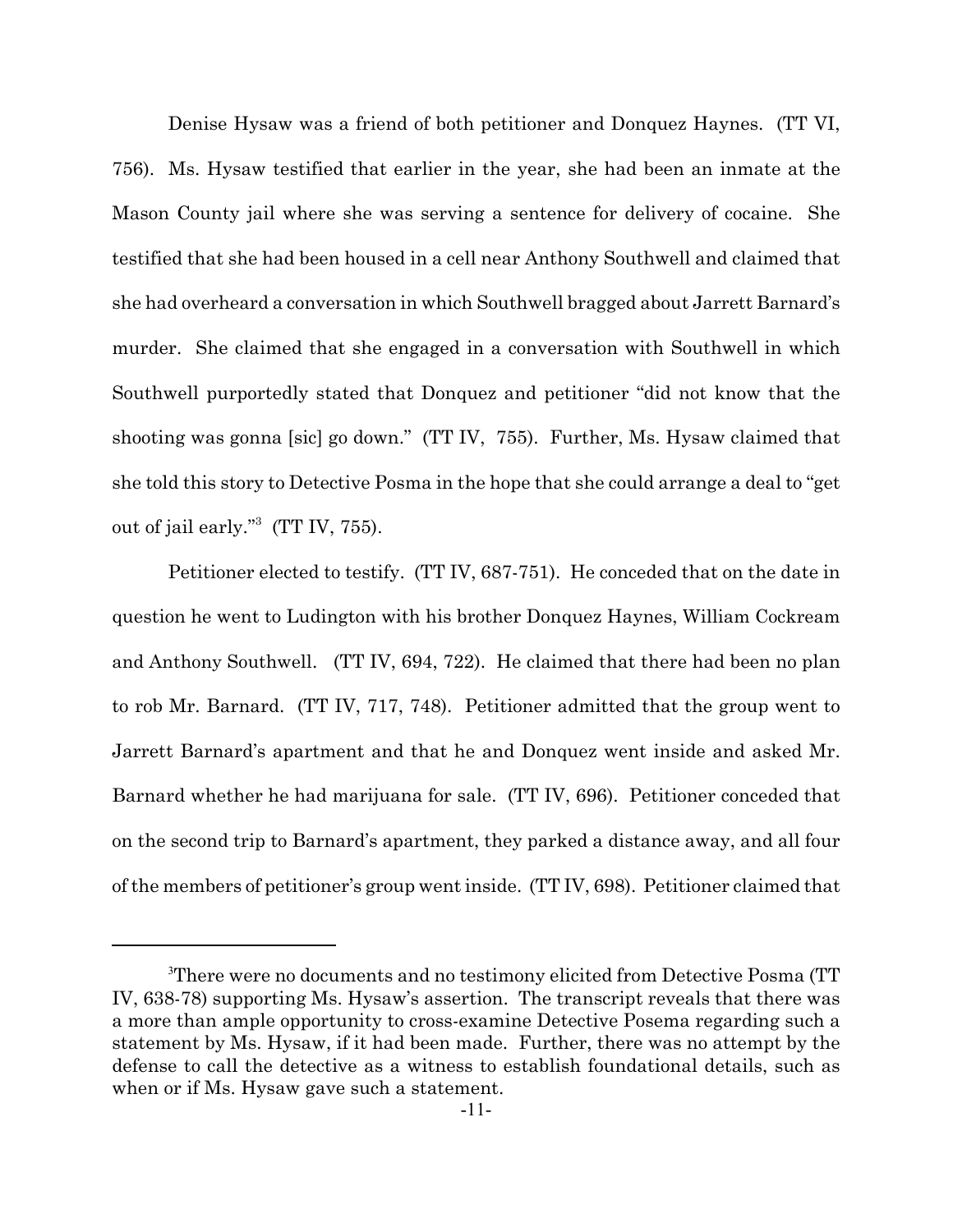Denise Hysaw was a friend of both petitioner and Donquez Haynes. (TT VI, 756). Ms. Hysaw testified that earlier in the year, she had been an inmate at the Mason County jail where she was serving a sentence for delivery of cocaine. She testified that she had been housed in a cell near Anthony Southwell and claimed that she had overheard a conversation in which Southwell bragged about Jarrett Barnard's murder. She claimed that she engaged in a conversation with Southwell in which Southwell purportedly stated that Donquez and petitioner "did not know that the shooting was gonna [sic] go down." (TT IV, 755). Further, Ms. Hysaw claimed that she told this story to Detective Posma in the hope that she could arrange a deal to "get out of jail early."<sup>3</sup> (TT IV, 755).

Petitioner elected to testify. (TT IV, 687-751). He conceded that on the date in question he went to Ludington with his brother Donquez Haynes, William Cockream and Anthony Southwell. (TT IV, 694, 722). He claimed that there had been no plan to rob Mr. Barnard. (TT IV, 717, 748). Petitioner admitted that the group went to Jarrett Barnard's apartment and that he and Donquez went inside and asked Mr. Barnard whether he had marijuana for sale. (TT IV, 696). Petitioner conceded that on the second trip to Barnard's apartment, they parked a distance away, and all four of the members of petitioner's group went inside. (TT IV, 698). Petitioner claimed that

<sup>3</sup>There were no documents and no testimony elicited from Detective Posma (TT IV, 638-78) supporting Ms. Hysaw's assertion. The transcript reveals that there was a more than ample opportunity to cross-examine Detective Posema regarding such a statement by Ms. Hysaw, if it had been made. Further, there was no attempt by the defense to call the detective as a witness to establish foundational details, such as when or if Ms. Hysaw gave such a statement.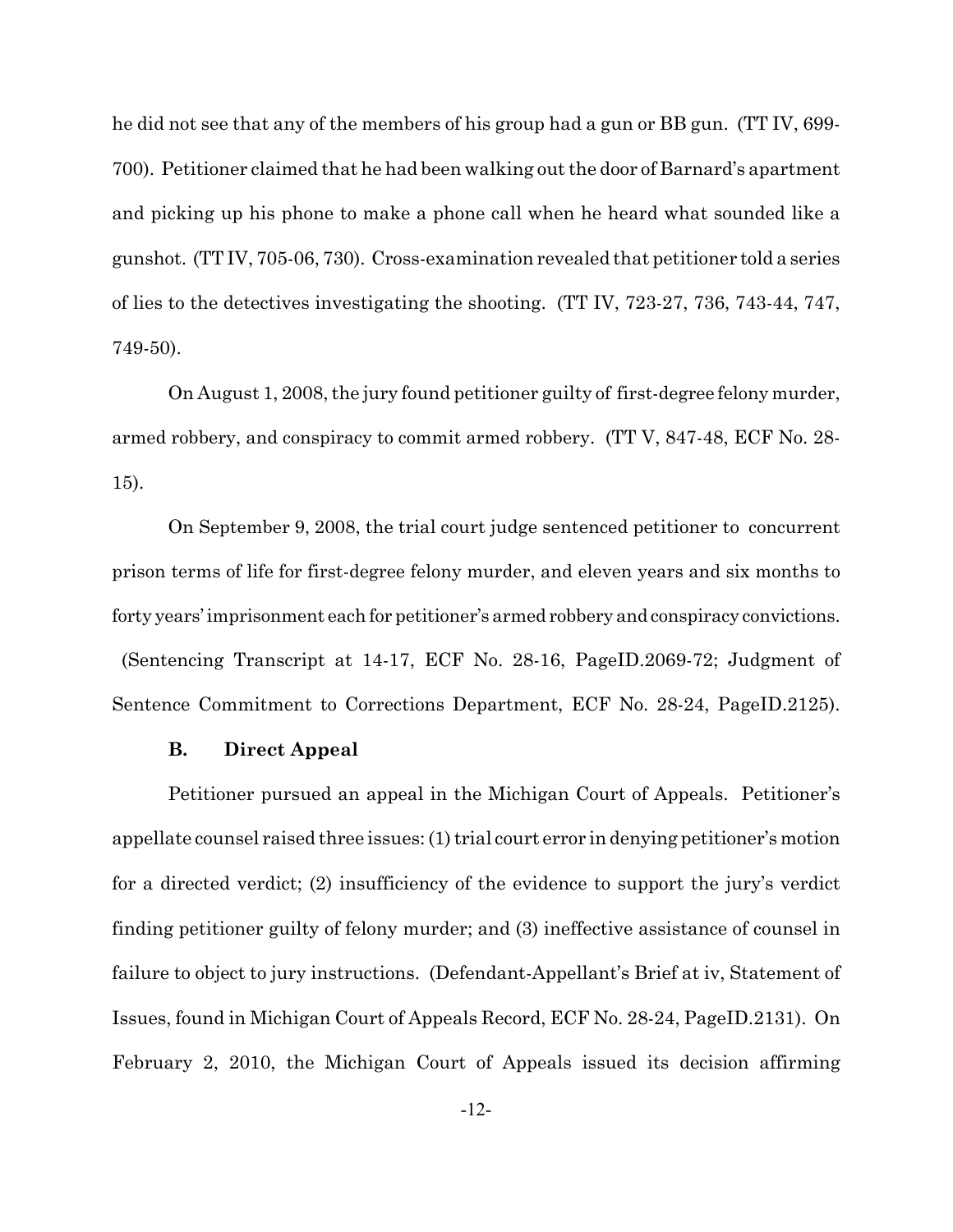he did not see that any of the members of his group had a gun or BB gun. (TT IV, 699- 700). Petitioner claimed that he had been walking out the door of Barnard's apartment and picking up his phone to make a phone call when he heard what sounded like a gunshot. (TT IV, 705-06, 730). Cross-examination revealed that petitioner told a series of lies to the detectives investigating the shooting. (TT IV, 723-27, 736, 743-44, 747, 749-50).

On August 1, 2008, the jury found petitioner guilty of first-degree felony murder, armed robbery, and conspiracy to commit armed robbery. (TT V, 847-48, ECF No. 28- 15).

On September 9, 2008, the trial court judge sentenced petitioner to concurrent prison terms of life for first-degree felony murder, and eleven years and six months to forty years' imprisonment each for petitioner's armed robbery and conspiracy convictions. (Sentencing Transcript at 14-17, ECF No. 28-16, PageID.2069-72; Judgment of Sentence Commitment to Corrections Department, ECF No. 28-24, PageID.2125).

### **B. Direct Appeal**

Petitioner pursued an appeal in the Michigan Court of Appeals. Petitioner's appellate counsel raised three issues: (1) trial court error in denying petitioner's motion for a directed verdict; (2) insufficiency of the evidence to support the jury's verdict finding petitioner guilty of felony murder; and (3) ineffective assistance of counsel in failure to object to jury instructions. (Defendant-Appellant's Brief at iv, Statement of Issues, found in Michigan Court of Appeals Record, ECF No. 28-24, PageID.2131). On February 2, 2010, the Michigan Court of Appeals issued its decision affirming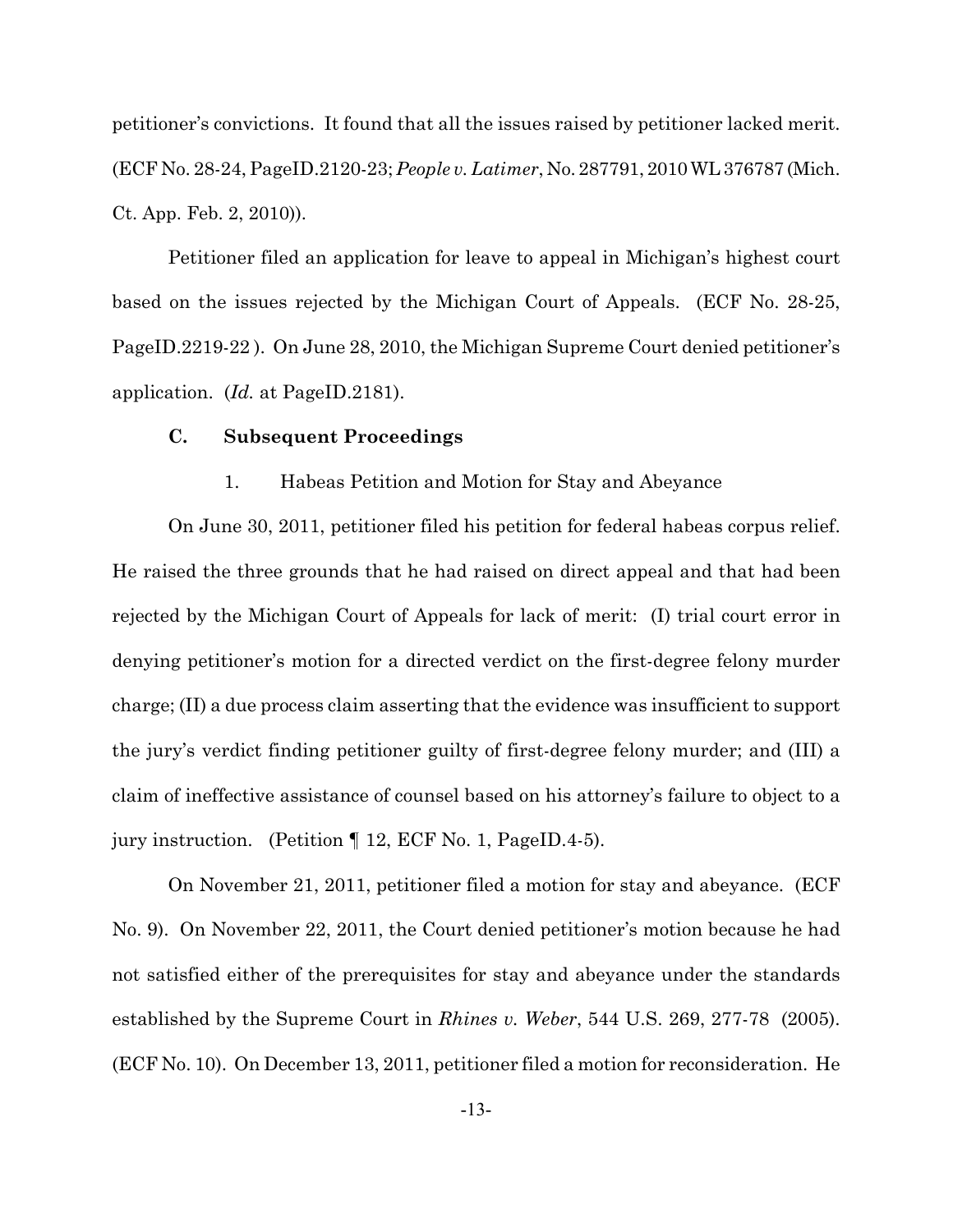petitioner's convictions. It found that all the issues raised by petitioner lacked merit. (ECF No. 28-24, PageID.2120-23; *People v. Latimer*, No. 287791, 2010 WL 376787 (Mich. Ct. App. Feb. 2, 2010)).

Petitioner filed an application for leave to appeal in Michigan's highest court based on the issues rejected by the Michigan Court of Appeals. (ECF No. 28-25, PageID.2219-22 ). On June 28, 2010, the Michigan Supreme Court denied petitioner's application. (*Id.* at PageID.2181).

# **C. Subsequent Proceedings**

## 1. Habeas Petition and Motion for Stay and Abeyance

On June 30, 2011, petitioner filed his petition for federal habeas corpus relief. He raised the three grounds that he had raised on direct appeal and that had been rejected by the Michigan Court of Appeals for lack of merit: (I) trial court error in denying petitioner's motion for a directed verdict on the first-degree felony murder charge; (II) a due process claim asserting that the evidence was insufficient to support the jury's verdict finding petitioner guilty of first-degree felony murder; and (III) a claim of ineffective assistance of counsel based on his attorney's failure to object to a jury instruction. (Petition ¶ 12, ECF No. 1, PageID.4-5).

On November 21, 2011, petitioner filed a motion for stay and abeyance. (ECF No. 9). On November 22, 2011, the Court denied petitioner's motion because he had not satisfied either of the prerequisites for stay and abeyance under the standards established by the Supreme Court in *Rhines v. Weber*, 544 U.S. 269, 277-78 (2005). (ECF No. 10). On December 13, 2011, petitioner filed a motion for reconsideration. He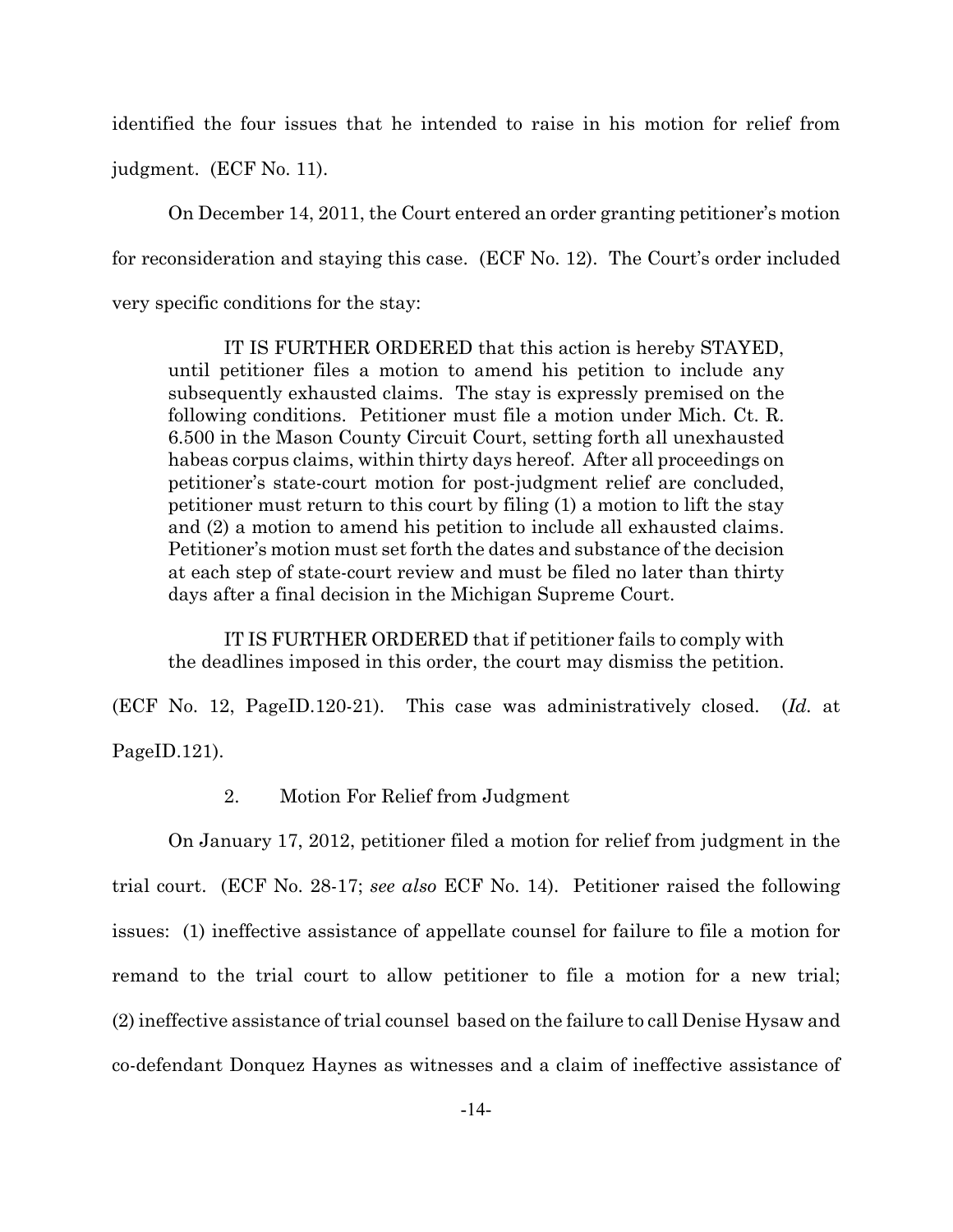identified the four issues that he intended to raise in his motion for relief from

judgment. (ECF No. 11).

On December 14, 2011, the Court entered an order granting petitioner's motion for reconsideration and staying this case. (ECF No. 12). The Court's order included very specific conditions for the stay:

IT IS FURTHER ORDERED that this action is hereby STAYED, until petitioner files a motion to amend his petition to include any subsequently exhausted claims. The stay is expressly premised on the following conditions. Petitioner must file a motion under Mich. Ct. R. 6.500 in the Mason County Circuit Court, setting forth all unexhausted habeas corpus claims, within thirty days hereof. After all proceedings on petitioner's state-court motion for post-judgment relief are concluded, petitioner must return to this court by filing (1) a motion to lift the stay and (2) a motion to amend his petition to include all exhausted claims. Petitioner's motion must set forth the dates and substance of the decision at each step of state-court review and must be filed no later than thirty days after a final decision in the Michigan Supreme Court.

IT IS FURTHER ORDERED that if petitioner fails to comply with the deadlines imposed in this order, the court may dismiss the petition.

(ECF No. 12, PageID.120-21). This case was administratively closed. (*Id.* at PageID.121).

2. Motion For Relief from Judgment

On January 17, 2012, petitioner filed a motion for relief from judgment in the trial court. (ECF No. 28-17; *see also* ECF No. 14). Petitioner raised the following issues: (1) ineffective assistance of appellate counsel for failure to file a motion for remand to the trial court to allow petitioner to file a motion for a new trial; (2) ineffective assistance of trial counsel based on the failure to call Denise Hysaw and co-defendant Donquez Haynes as witnesses and a claim of ineffective assistance of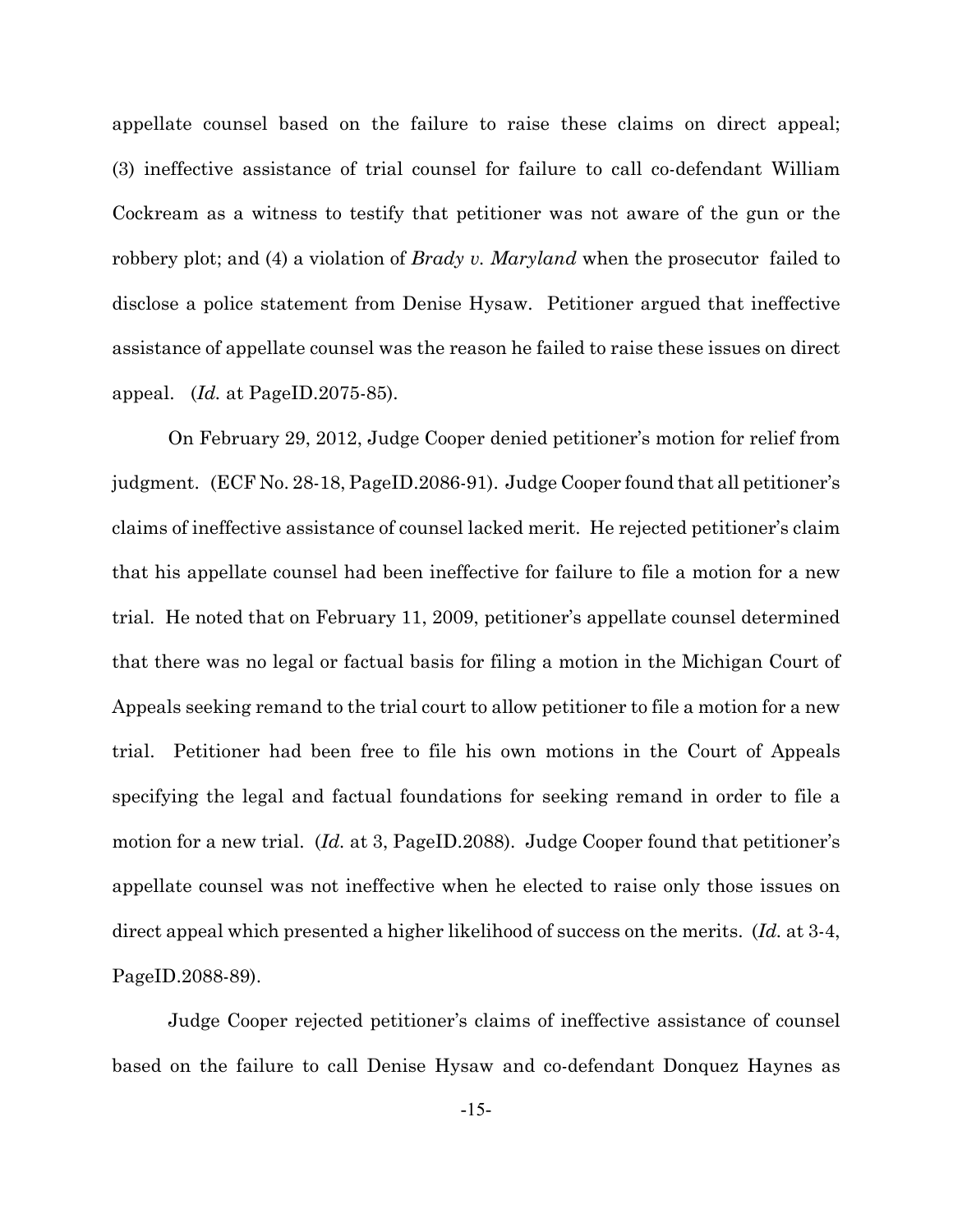appellate counsel based on the failure to raise these claims on direct appeal; (3) ineffective assistance of trial counsel for failure to call co-defendant William Cockream as a witness to testify that petitioner was not aware of the gun or the robbery plot; and (4) a violation of *Brady v. Maryland* when the prosecutor failed to disclose a police statement from Denise Hysaw. Petitioner argued that ineffective assistance of appellate counsel was the reason he failed to raise these issues on direct appeal. (*Id.* at PageID.2075-85).

On February 29, 2012, Judge Cooper denied petitioner's motion for relief from judgment. (ECF No. 28-18, PageID.2086-91). Judge Cooper found that all petitioner's claims of ineffective assistance of counsel lacked merit. He rejected petitioner's claim that his appellate counsel had been ineffective for failure to file a motion for a new trial. He noted that on February 11, 2009, petitioner's appellate counsel determined that there was no legal or factual basis for filing a motion in the Michigan Court of Appeals seeking remand to the trial court to allow petitioner to file a motion for a new trial. Petitioner had been free to file his own motions in the Court of Appeals specifying the legal and factual foundations for seeking remand in order to file a motion for a new trial. (*Id.* at 3, PageID.2088). Judge Cooper found that petitioner's appellate counsel was not ineffective when he elected to raise only those issues on direct appeal which presented a higher likelihood of success on the merits. (*Id.* at 3-4, PageID.2088-89).

Judge Cooper rejected petitioner's claims of ineffective assistance of counsel based on the failure to call Denise Hysaw and co-defendant Donquez Haynes as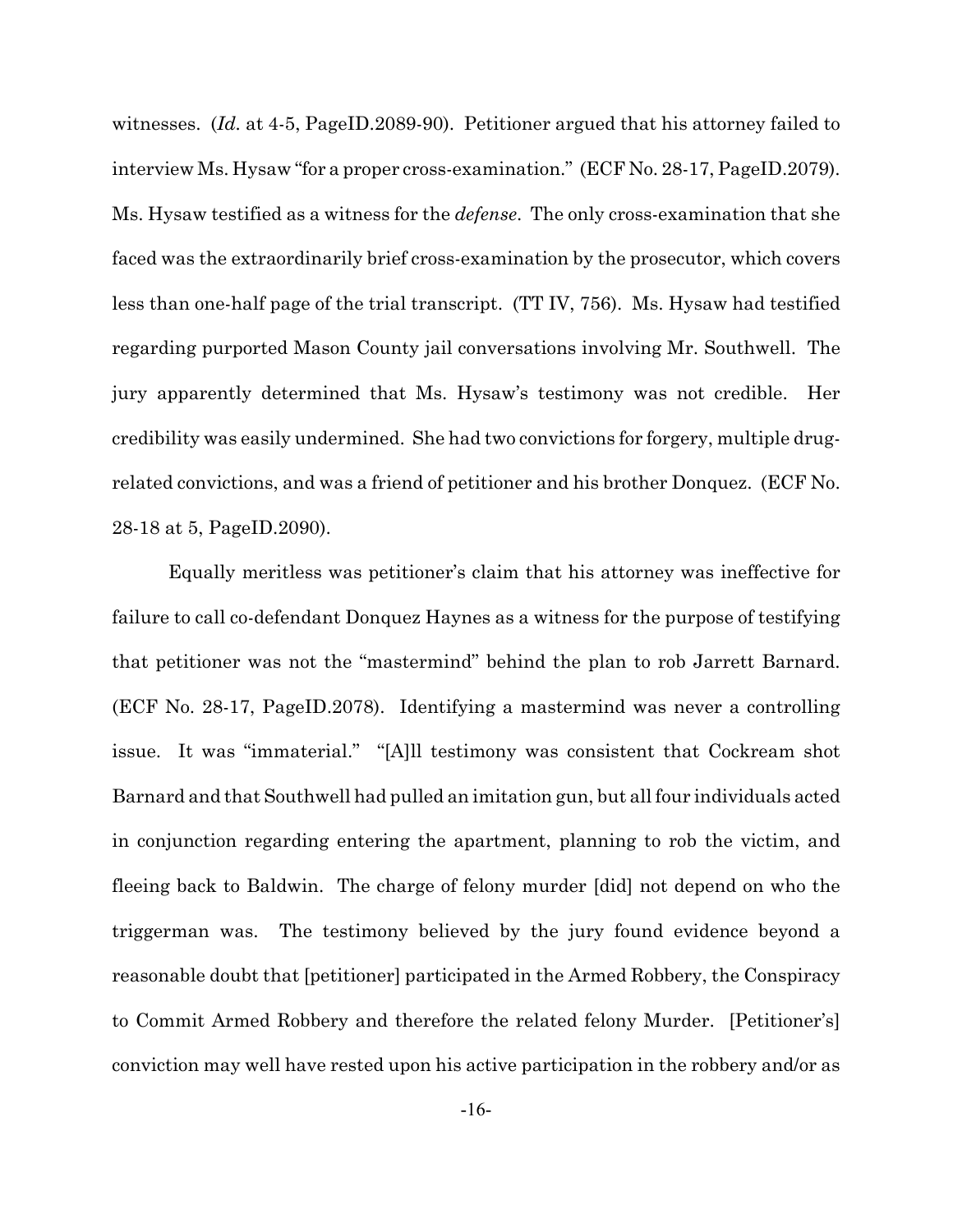witnesses. (*Id.* at 4-5, PageID.2089-90). Petitioner argued that his attorney failed to interview Ms. Hysaw "for a proper cross-examination." (ECF No. 28-17, PageID.2079). Ms. Hysaw testified as a witness for the *defense*. The only cross-examination that she faced was the extraordinarily brief cross-examination by the prosecutor, which covers less than one-half page of the trial transcript. (TT IV, 756). Ms. Hysaw had testified regarding purported Mason County jail conversations involving Mr. Southwell. The jury apparently determined that Ms. Hysaw's testimony was not credible. Her credibility was easily undermined. She had two convictions for forgery, multiple drugrelated convictions, and was a friend of petitioner and his brother Donquez. (ECF No. 28-18 at 5, PageID.2090).

Equally meritless was petitioner's claim that his attorney was ineffective for failure to call co-defendant Donquez Haynes as a witness for the purpose of testifying that petitioner was not the "mastermind" behind the plan to rob Jarrett Barnard. (ECF No. 28-17, PageID.2078). Identifying a mastermind was never a controlling issue. It was "immaterial." "[A]ll testimony was consistent that Cockream shot Barnard and that Southwell had pulled an imitation gun, but all four individuals acted in conjunction regarding entering the apartment, planning to rob the victim, and fleeing back to Baldwin. The charge of felony murder [did] not depend on who the triggerman was. The testimony believed by the jury found evidence beyond a reasonable doubt that [petitioner] participated in the Armed Robbery, the Conspiracy to Commit Armed Robbery and therefore the related felony Murder. [Petitioner's] conviction may well have rested upon his active participation in the robbery and/or as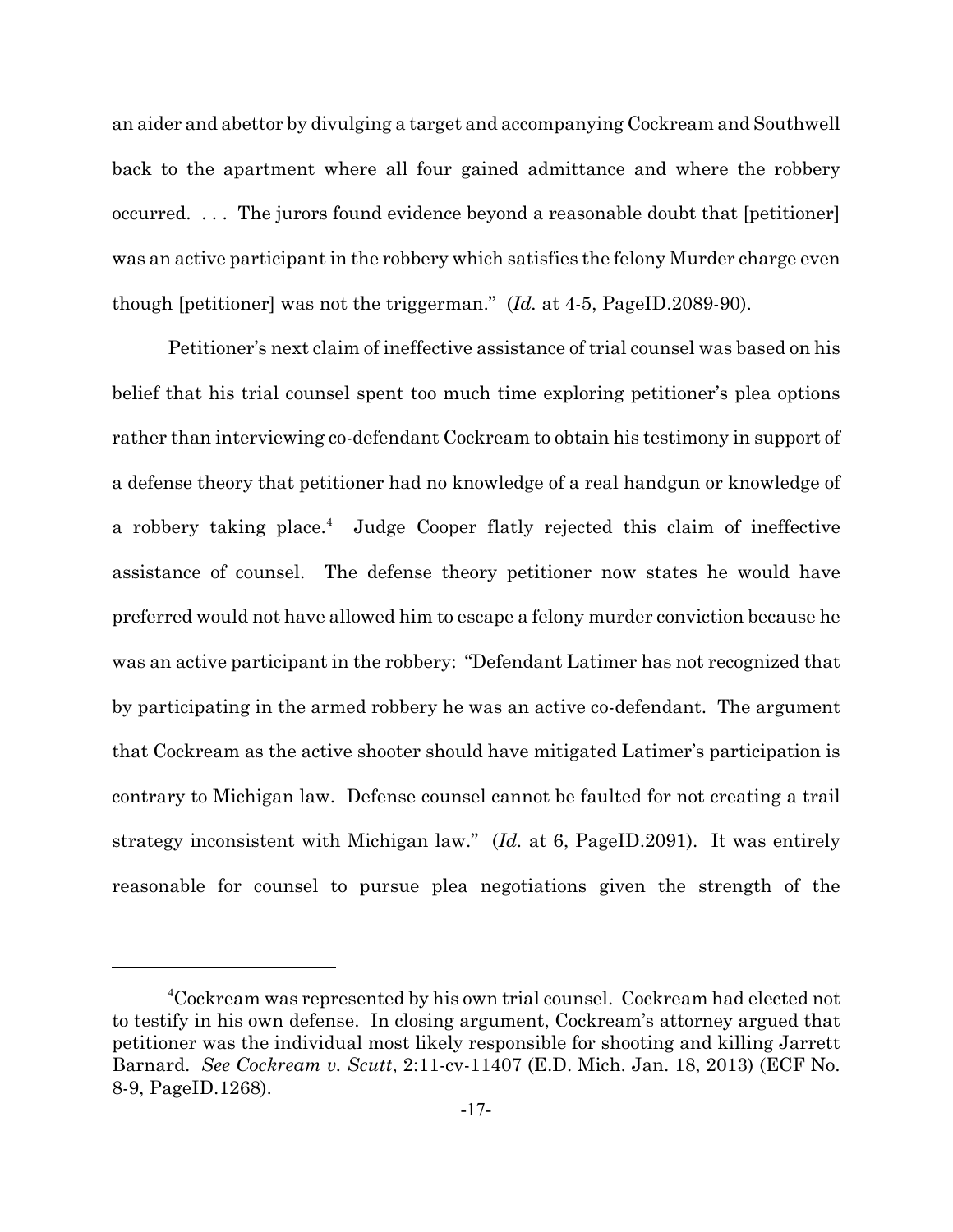an aider and abettor by divulging a target and accompanying Cockream and Southwell back to the apartment where all four gained admittance and where the robbery occurred. . . . The jurors found evidence beyond a reasonable doubt that [petitioner] was an active participant in the robbery which satisfies the felony Murder charge even though [petitioner] was not the triggerman." (*Id.* at 4-5, PageID.2089-90).

Petitioner's next claim of ineffective assistance of trial counsel was based on his belief that his trial counsel spent too much time exploring petitioner's plea options rather than interviewing co-defendant Cockream to obtain his testimony in support of a defense theory that petitioner had no knowledge of a real handgun or knowledge of a robbery taking place.<sup>4</sup> Judge Cooper flatly rejected this claim of ineffective assistance of counsel. The defense theory petitioner now states he would have preferred would not have allowed him to escape a felony murder conviction because he was an active participant in the robbery: "Defendant Latimer has not recognized that by participating in the armed robbery he was an active co-defendant. The argument that Cockream as the active shooter should have mitigated Latimer's participation is contrary to Michigan law. Defense counsel cannot be faulted for not creating a trail strategy inconsistent with Michigan law." (*Id.* at 6, PageID.2091). It was entirely reasonable for counsel to pursue plea negotiations given the strength of the

<sup>4</sup>Cockream was represented by his own trial counsel. Cockream had elected not to testify in his own defense. In closing argument, Cockream's attorney argued that petitioner was the individual most likely responsible for shooting and killing Jarrett Barnard. *See Cockream v. Scutt*, 2:11-cv-11407 (E.D. Mich. Jan. 18, 2013) (ECF No. 8-9, PageID.1268).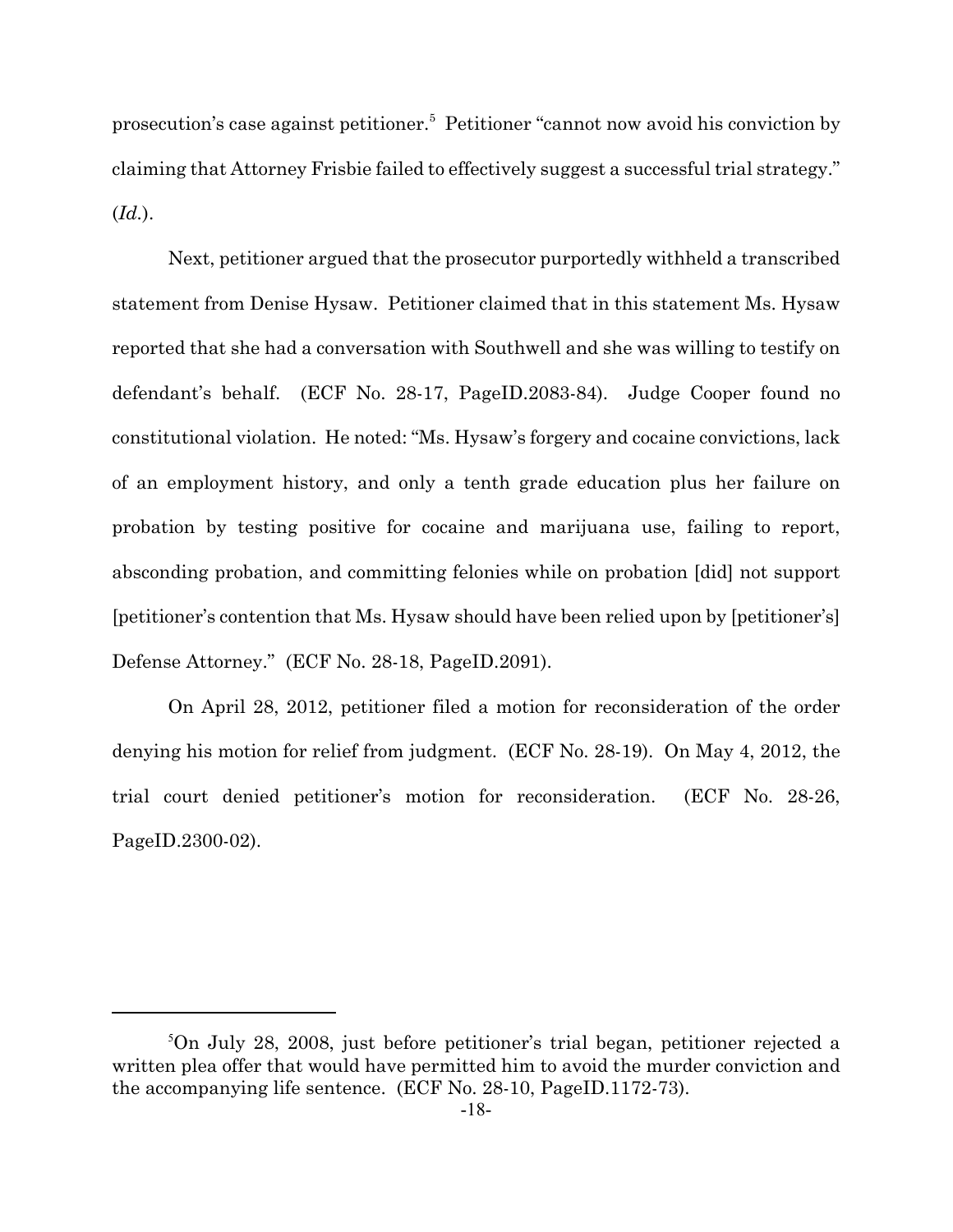prosecution's case against petitioner.<sup>5</sup> Petitioner "cannot now avoid his conviction by claiming that Attorney Frisbie failed to effectively suggest a successful trial strategy." (*Id.*).

Next, petitioner argued that the prosecutor purportedly withheld a transcribed statement from Denise Hysaw. Petitioner claimed that in this statement Ms. Hysaw reported that she had a conversation with Southwell and she was willing to testify on defendant's behalf. (ECF No. 28-17, PageID.2083-84). Judge Cooper found no constitutional violation. He noted: "Ms. Hysaw's forgery and cocaine convictions, lack of an employment history, and only a tenth grade education plus her failure on probation by testing positive for cocaine and marijuana use, failing to report, absconding probation, and committing felonies while on probation [did] not support [petitioner's contention that Ms. Hysaw should have been relied upon by [petitioner's] Defense Attorney." (ECF No. 28-18, PageID.2091).

On April 28, 2012, petitioner filed a motion for reconsideration of the order denying his motion for relief from judgment. (ECF No. 28-19). On May 4, 2012, the trial court denied petitioner's motion for reconsideration. (ECF No. 28-26, PageID.2300-02).

<sup>5</sup>On July 28, 2008, just before petitioner's trial began, petitioner rejected a written plea offer that would have permitted him to avoid the murder conviction and the accompanying life sentence. (ECF No. 28-10, PageID.1172-73).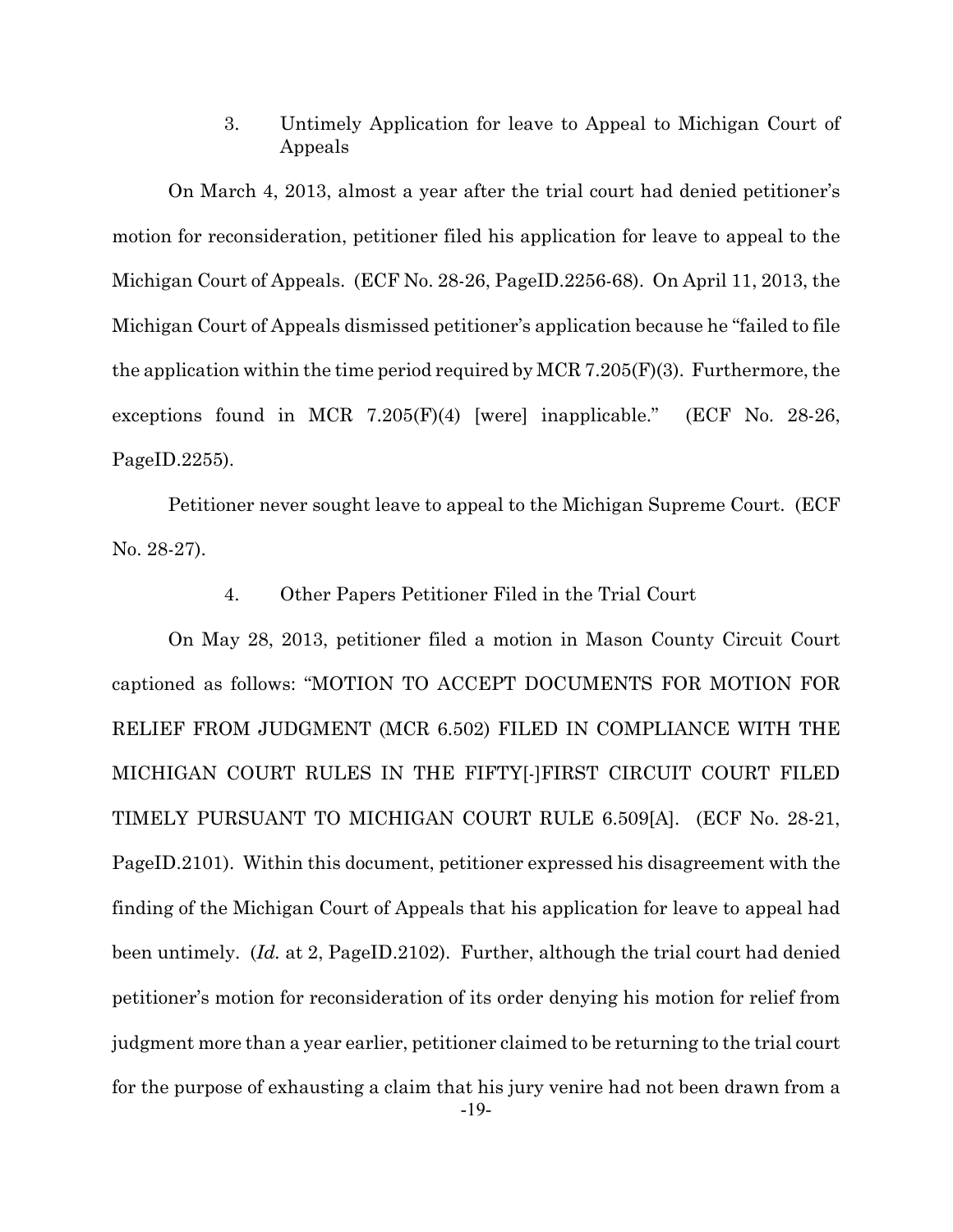3. Untimely Application for leave to Appeal to Michigan Court of Appeals

On March 4, 2013, almost a year after the trial court had denied petitioner's motion for reconsideration, petitioner filed his application for leave to appeal to the Michigan Court of Appeals. (ECF No. 28-26, PageID.2256-68). On April 11, 2013, the Michigan Court of Appeals dismissed petitioner's application because he "failed to file the application within the time period required by MCR 7.205(F)(3). Furthermore, the exceptions found in MCR 7.205(F)(4) [were] inapplicable." (ECF No. 28-26, PageID.2255).

Petitioner never sought leave to appeal to the Michigan Supreme Court. (ECF No. 28-27).

4. Other Papers Petitioner Filed in the Trial Court

On May 28, 2013, petitioner filed a motion in Mason County Circuit Court captioned as follows: "MOTION TO ACCEPT DOCUMENTS FOR MOTION FOR RELIEF FROM JUDGMENT (MCR 6.502) FILED IN COMPLIANCE WITH THE MICHIGAN COURT RULES IN THE FIFTY[-]FIRST CIRCUIT COURT FILED TIMELY PURSUANT TO MICHIGAN COURT RULE 6.509[A]. (ECF No. 28-21, PageID.2101). Within this document, petitioner expressed his disagreement with the finding of the Michigan Court of Appeals that his application for leave to appeal had been untimely. (*Id.* at 2, PageID.2102). Further, although the trial court had denied petitioner's motion for reconsideration of its order denying his motion for relief from judgment more than a year earlier, petitioner claimed to be returning to the trial court for the purpose of exhausting a claim that his jury venire had not been drawn from a -19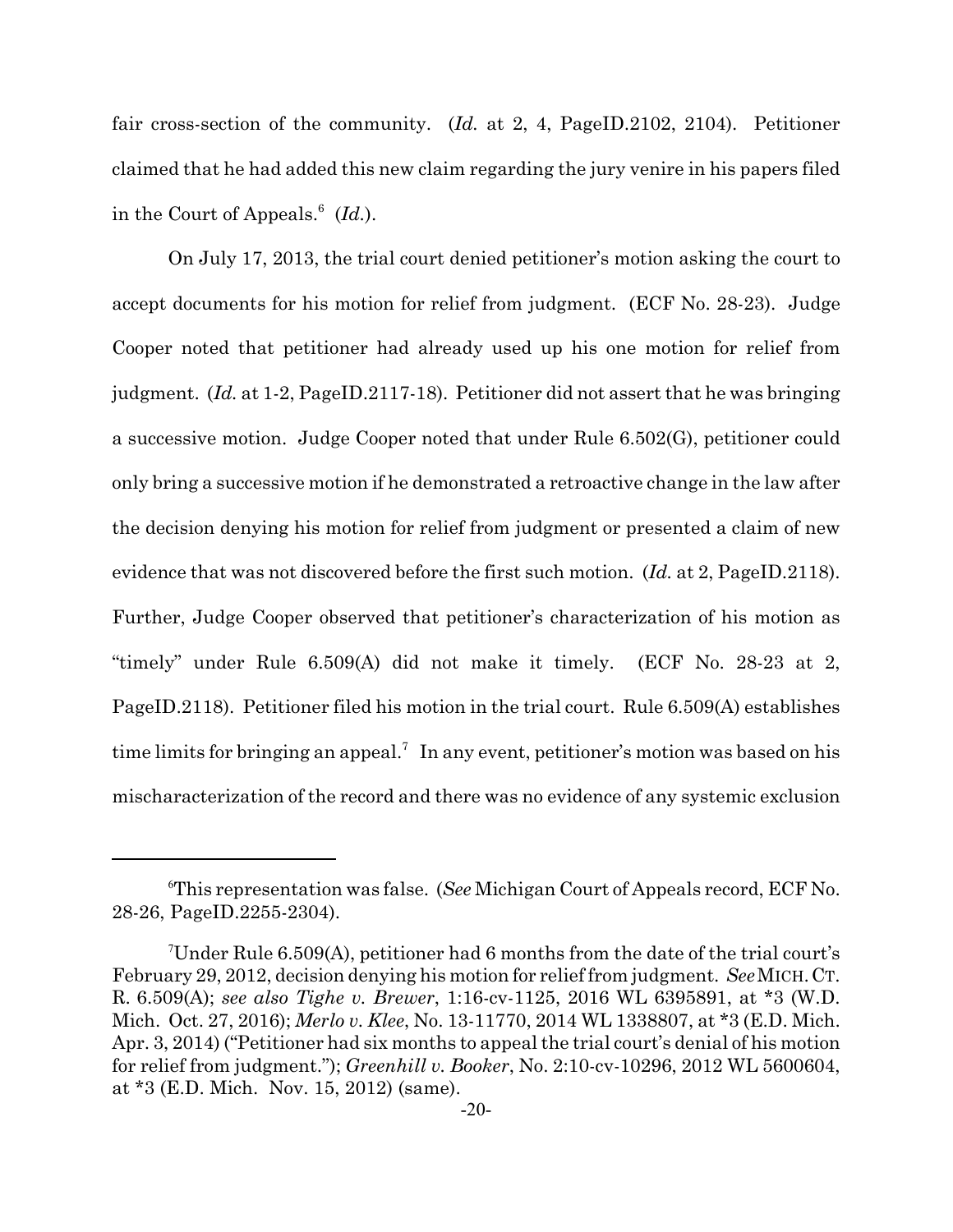fair cross-section of the community. (*Id.* at 2, 4, PageID.2102, 2104). Petitioner claimed that he had added this new claim regarding the jury venire in his papers filed in the Court of Appeals.<sup>6</sup> (*Id.*).

On July 17, 2013, the trial court denied petitioner's motion asking the court to accept documents for his motion for relief from judgment. (ECF No. 28-23). Judge Cooper noted that petitioner had already used up his one motion for relief from judgment. (*Id.* at 1-2, PageID.2117-18). Petitioner did not assert that he was bringing a successive motion. Judge Cooper noted that under Rule 6.502(G), petitioner could only bring a successive motion if he demonstrated a retroactive change in the law after the decision denying his motion for relief from judgment or presented a claim of new evidence that was not discovered before the first such motion. (*Id.* at 2, PageID.2118). Further, Judge Cooper observed that petitioner's characterization of his motion as "timely" under Rule 6.509(A) did not make it timely. (ECF No. 28-23 at 2, PageID.2118). Petitioner filed his motion in the trial court. Rule 6.509(A) establishes time limits for bringing an appeal.<sup>7</sup> In any event, petitioner's motion was based on his mischaracterization of the record and there was no evidence of any systemic exclusion

<sup>6</sup>This representation was false. (*See* Michigan Court of Appeals record, ECF No. 28-26, PageID.2255-2304).

<sup>7</sup>Under Rule 6.509(A), petitioner had 6 months from the date of the trial court's February 29, 2012, decision denying his motion for relief from judgment. *See*MICH.CT. R. 6.509(A); *see also Tighe v. Brewer*, 1:16-cv-1125, 2016 WL 6395891, at \*3 (W.D. Mich. Oct. 27, 2016); *Merlo v. Klee*, No. 13-11770, 2014 WL 1338807, at \*3 (E.D. Mich. Apr. 3, 2014) ("Petitioner had six months to appeal the trial court's denial of his motion for relief from judgment."); *Greenhill v. Booker*, No. 2:10-cv-10296, 2012 WL 5600604, at \*3 (E.D. Mich. Nov. 15, 2012) (same).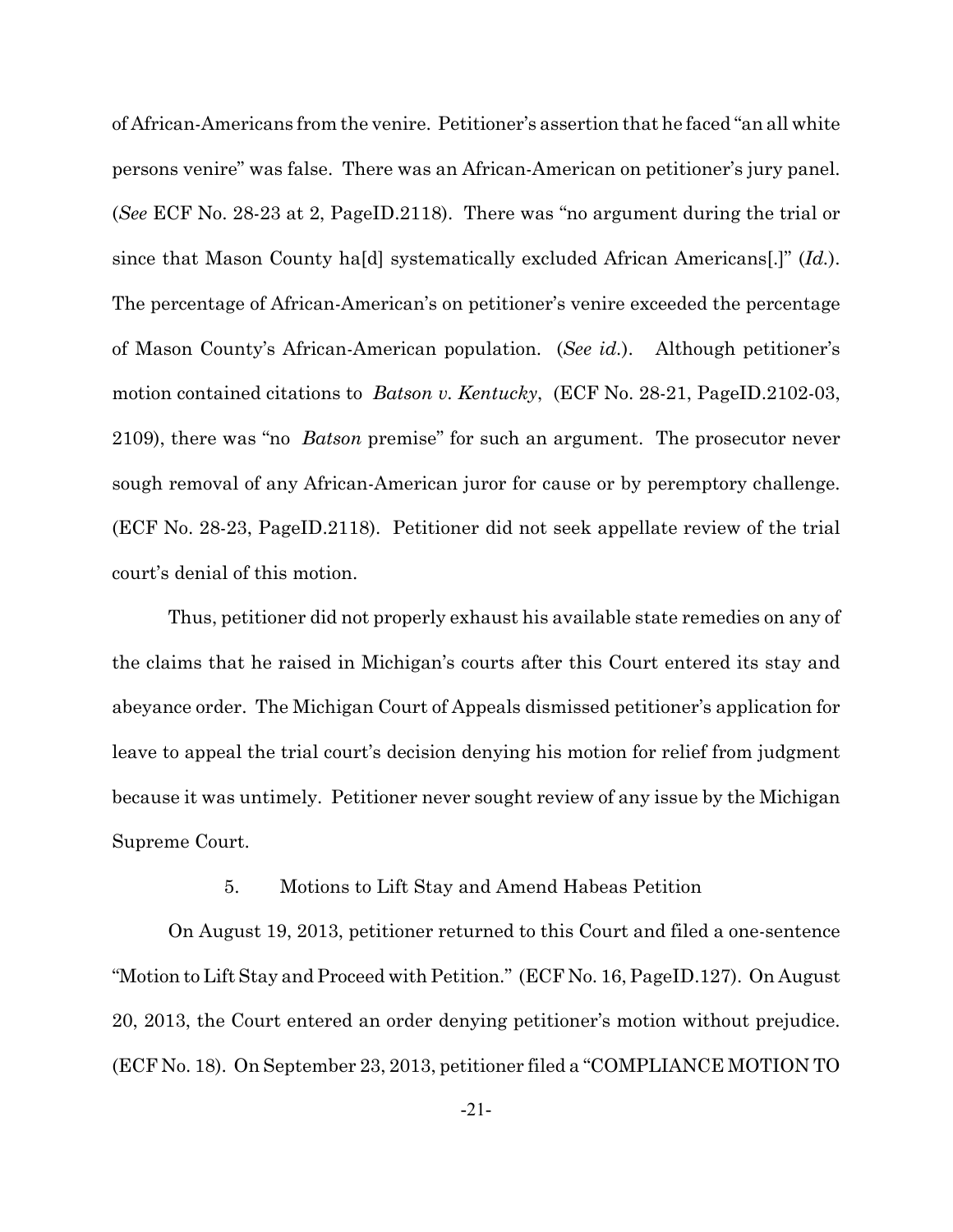of African-Americans from the venire. Petitioner's assertion that he faced "an all white persons venire" was false. There was an African-American on petitioner's jury panel. (*See* ECF No. 28-23 at 2, PageID.2118). There was "no argument during the trial or since that Mason County ha[d] systematically excluded African Americans[.]" (*Id.*). The percentage of African-American's on petitioner's venire exceeded the percentage of Mason County's African-American population. (*See id.*). Although petitioner's motion contained citations to *Batson v. Kentucky*, (ECF No. 28-21, PageID.2102-03, 2109), there was "no *Batson* premise" for such an argument. The prosecutor never sough removal of any African-American juror for cause or by peremptory challenge. (ECF No. 28-23, PageID.2118). Petitioner did not seek appellate review of the trial court's denial of this motion.

Thus, petitioner did not properly exhaust his available state remedies on any of the claims that he raised in Michigan's courts after this Court entered its stay and abeyance order. The Michigan Court of Appeals dismissed petitioner's application for leave to appeal the trial court's decision denying his motion for relief from judgment because it was untimely. Petitioner never sought review of any issue by the Michigan Supreme Court.

## 5. Motions to Lift Stay and Amend Habeas Petition

On August 19, 2013, petitioner returned to this Court and filed a one-sentence "Motion to Lift Stay and Proceed with Petition." (ECF No. 16, PageID.127). On August 20, 2013, the Court entered an order denying petitioner's motion without prejudice. (ECF No. 18). On September 23, 2013, petitioner filed a "COMPLIANCE MOTION TO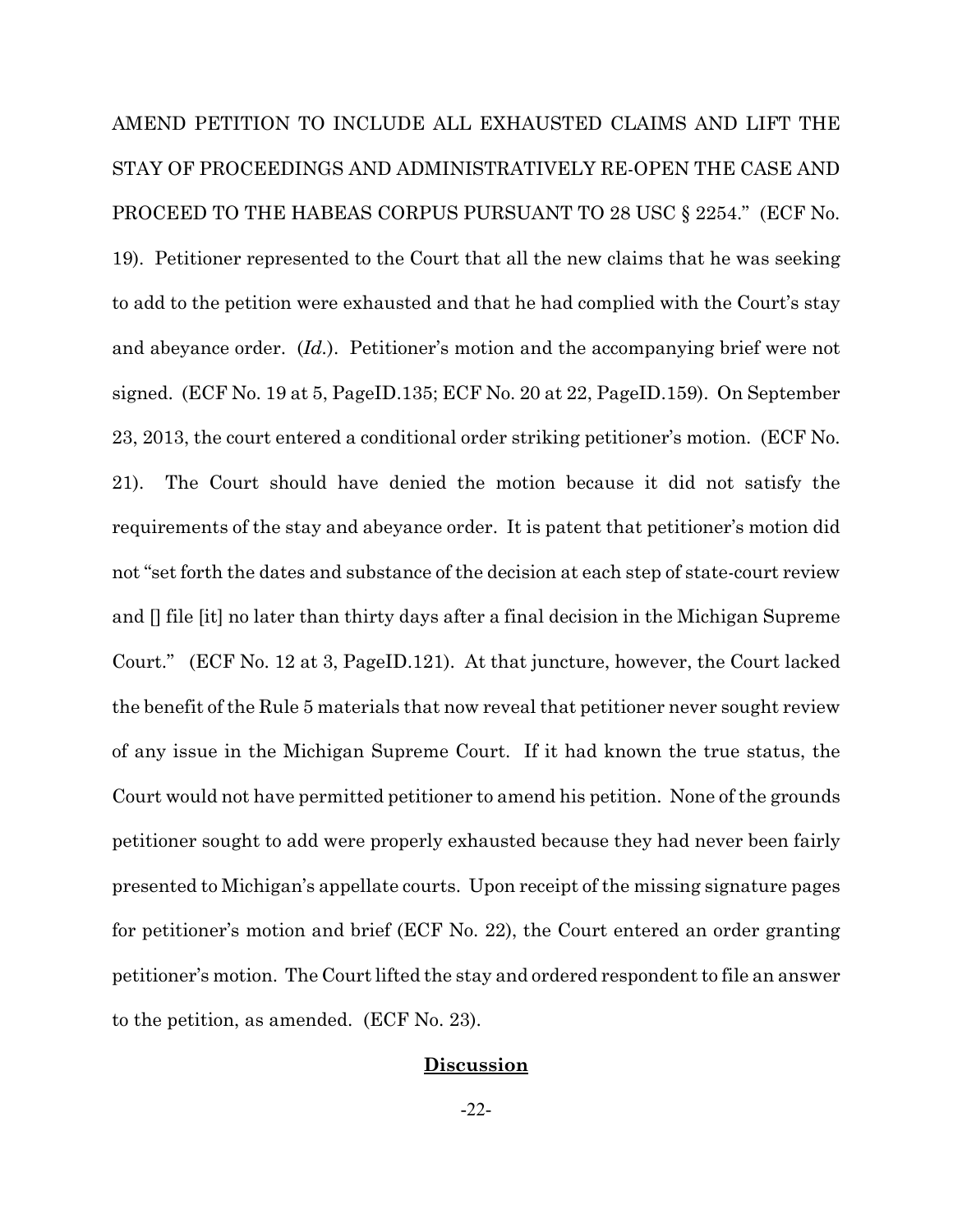AMEND PETITION TO INCLUDE ALL EXHAUSTED CLAIMS AND LIFT THE STAY OF PROCEEDINGS AND ADMINISTRATIVELY RE-OPEN THE CASE AND PROCEED TO THE HABEAS CORPUS PURSUANT TO 28 USC § 2254." (ECF No. 19). Petitioner represented to the Court that all the new claims that he was seeking to add to the petition were exhausted and that he had complied with the Court's stay and abeyance order. (*Id.*). Petitioner's motion and the accompanying brief were not signed. (ECF No. 19 at 5, PageID.135; ECF No. 20 at 22, PageID.159). On September 23, 2013, the court entered a conditional order striking petitioner's motion. (ECF No. 21). The Court should have denied the motion because it did not satisfy the requirements of the stay and abeyance order. It is patent that petitioner's motion did not "set forth the dates and substance of the decision at each step of state-court review and [] file [it] no later than thirty days after a final decision in the Michigan Supreme Court." (ECF No. 12 at 3, PageID.121). At that juncture, however, the Court lacked the benefit of the Rule 5 materials that now reveal that petitioner never sought review of any issue in the Michigan Supreme Court. If it had known the true status, the Court would not have permitted petitioner to amend his petition. None of the grounds petitioner sought to add were properly exhausted because they had never been fairly presented to Michigan's appellate courts. Upon receipt of the missing signature pages for petitioner's motion and brief (ECF No. 22), the Court entered an order granting petitioner's motion. The Court lifted the stay and ordered respondent to file an answer to the petition, as amended. (ECF No. 23).

## **Discussion**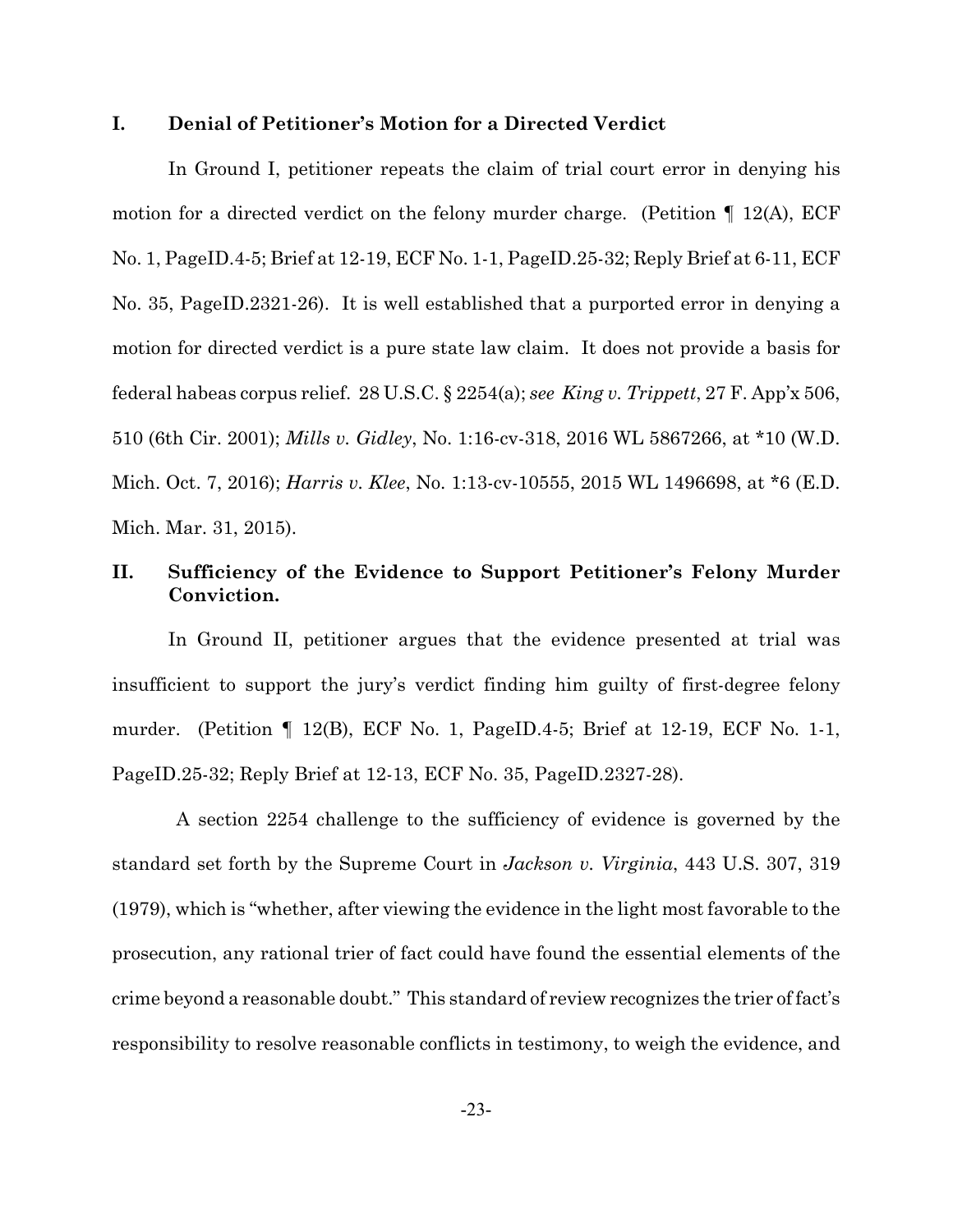## **I. Denial of Petitioner's Motion for a Directed Verdict**

In Ground I, petitioner repeats the claim of trial court error in denying his motion for a directed verdict on the felony murder charge. (Petition *¶* 12(A), ECF No. 1, PageID.4-5; Brief at 12-19, ECF No. 1-1, PageID.25-32; Reply Brief at 6-11, ECF No. 35, PageID.2321-26). It is well established that a purported error in denying a motion for directed verdict is a pure state law claim. It does not provide a basis for federal habeas corpus relief. 28 U.S.C. § 2254(a); *see King v. Trippett*, 27 F. App'x 506, 510 (6th Cir. 2001); *Mills v. Gidley*, No. 1:16-cv-318, 2016 WL 5867266, at \*10 (W.D. Mich. Oct. 7, 2016); *Harris v. Klee*, No. 1:13-cv-10555, 2015 WL 1496698, at \*6 (E.D. Mich. Mar. 31, 2015).

# **II. Sufficiency of the Evidence to Support Petitioner's Felony Murder Conviction.**

In Ground II, petitioner argues that the evidence presented at trial was insufficient to support the jury's verdict finding him guilty of first-degree felony murder. (Petition *¶* 12(B), ECF No. 1, PageID.4-5; Brief at 12-19, ECF No. 1-1, PageID.25-32; Reply Brief at 12-13, ECF No. 35, PageID.2327-28).

 A section 2254 challenge to the sufficiency of evidence is governed by the standard set forth by the Supreme Court in *Jackson v. Virginia*, 443 U.S. 307, 319 (1979), which is "whether, after viewing the evidence in the light most favorable to the prosecution, any rational trier of fact could have found the essential elements of the crime beyond a reasonable doubt." This standard of review recognizes the trier of fact's responsibility to resolve reasonable conflicts in testimony, to weigh the evidence, and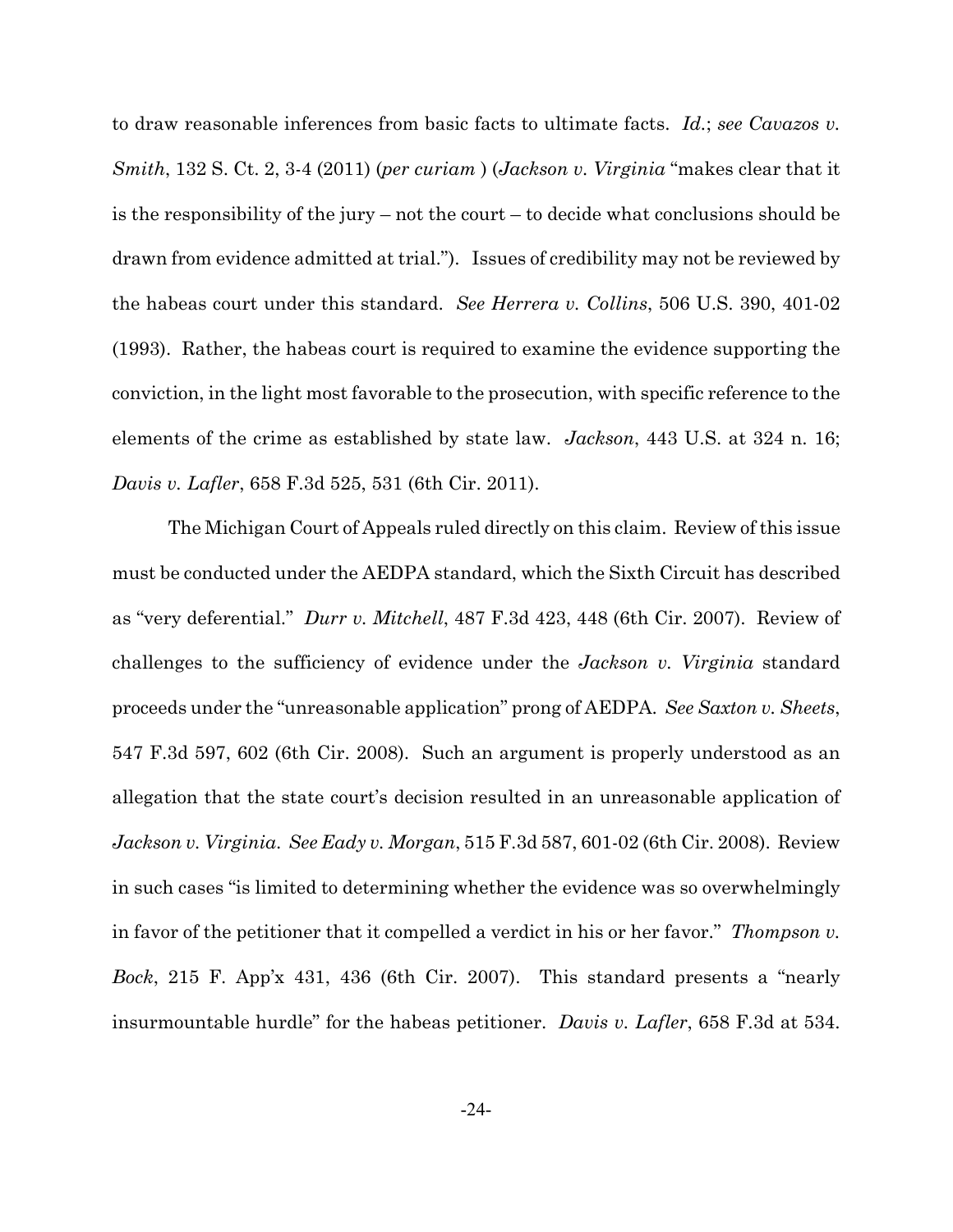to draw reasonable inferences from basic facts to ultimate facts. *Id.*; *see Cavazos v. Smith*, 132 S. Ct. 2, 3-4 (2011) (*per curiam* ) (*Jackson v. Virginia* "makes clear that it is the responsibility of the jury – not the court – to decide what conclusions should be drawn from evidence admitted at trial."). Issues of credibility may not be reviewed by the habeas court under this standard. *See Herrera v. Collins*, 506 U.S. 390, 401-02 (1993). Rather, the habeas court is required to examine the evidence supporting the conviction, in the light most favorable to the prosecution, with specific reference to the elements of the crime as established by state law. *Jackson*, 443 U.S. at 324 n. 16; *Davis v. Lafler*, 658 F.3d 525, 531 (6th Cir. 2011).

The Michigan Court of Appeals ruled directly on this claim. Review of this issue must be conducted under the AEDPA standard, which the Sixth Circuit has described as "very deferential." *Durr v. Mitchell*, 487 F.3d 423, 448 (6th Cir. 2007). Review of challenges to the sufficiency of evidence under the *Jackson v. Virginia* standard proceeds under the "unreasonable application" prong of AEDPA. *See Saxton v. Sheets*, 547 F.3d 597, 602 (6th Cir. 2008). Such an argument is properly understood as an allegation that the state court's decision resulted in an unreasonable application of *Jackson v. Virginia*. *See Eady v. Morgan*, 515 F.3d 587, 601-02 (6th Cir. 2008). Review in such cases "is limited to determining whether the evidence was so overwhelmingly in favor of the petitioner that it compelled a verdict in his or her favor." *Thompson v. Bock*, 215 F. App'x 431, 436 (6th Cir. 2007). This standard presents a "nearly insurmountable hurdle" for the habeas petitioner. *Davis v. Lafler*, 658 F.3d at 534.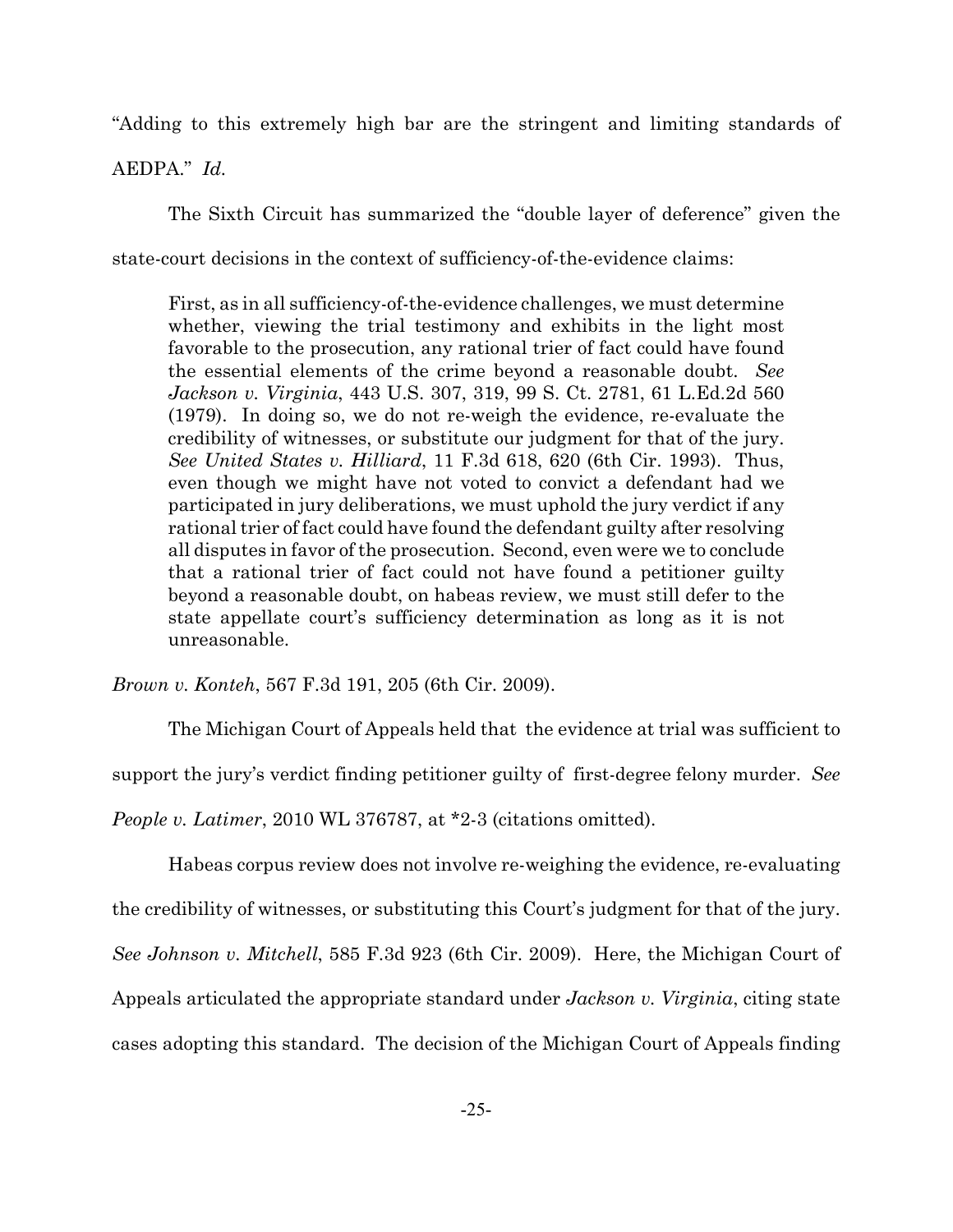"Adding to this extremely high bar are the stringent and limiting standards of

AEDPA." *Id.*

The Sixth Circuit has summarized the "double layer of deference" given the state-court decisions in the context of sufficiency-of-the-evidence claims:

First, as in all sufficiency-of-the-evidence challenges, we must determine whether, viewing the trial testimony and exhibits in the light most favorable to the prosecution, any rational trier of fact could have found the essential elements of the crime beyond a reasonable doubt. *See Jackson v. Virginia*, 443 U.S. 307, 319, 99 S. Ct. 2781, 61 L.Ed.2d 560 (1979). In doing so, we do not re-weigh the evidence, re-evaluate the credibility of witnesses, or substitute our judgment for that of the jury. *See United States v. Hilliard*, 11 F.3d 618, 620 (6th Cir. 1993). Thus, even though we might have not voted to convict a defendant had we participated in jury deliberations, we must uphold the jury verdict if any rational trier of fact could have found the defendant guilty after resolving all disputes in favor of the prosecution. Second, even were we to conclude that a rational trier of fact could not have found a petitioner guilty beyond a reasonable doubt, on habeas review, we must still defer to the state appellate court's sufficiency determination as long as it is not unreasonable.

*Brown v. Konteh*, 567 F.3d 191, 205 (6th Cir. 2009).

The Michigan Court of Appeals held that the evidence at trial was sufficient to support the jury's verdict finding petitioner guilty of first-degree felony murder. *See People v. Latimer*, 2010 WL 376787, at \*2-3 (citations omitted).

Habeas corpus review does not involve re-weighing the evidence, re-evaluating the credibility of witnesses, or substituting this Court's judgment for that of the jury. *See Johnson v. Mitchell*, 585 F.3d 923 (6th Cir. 2009). Here, the Michigan Court of Appeals articulated the appropriate standard under *Jackson v. Virginia*, citing state cases adopting this standard. The decision of the Michigan Court of Appeals finding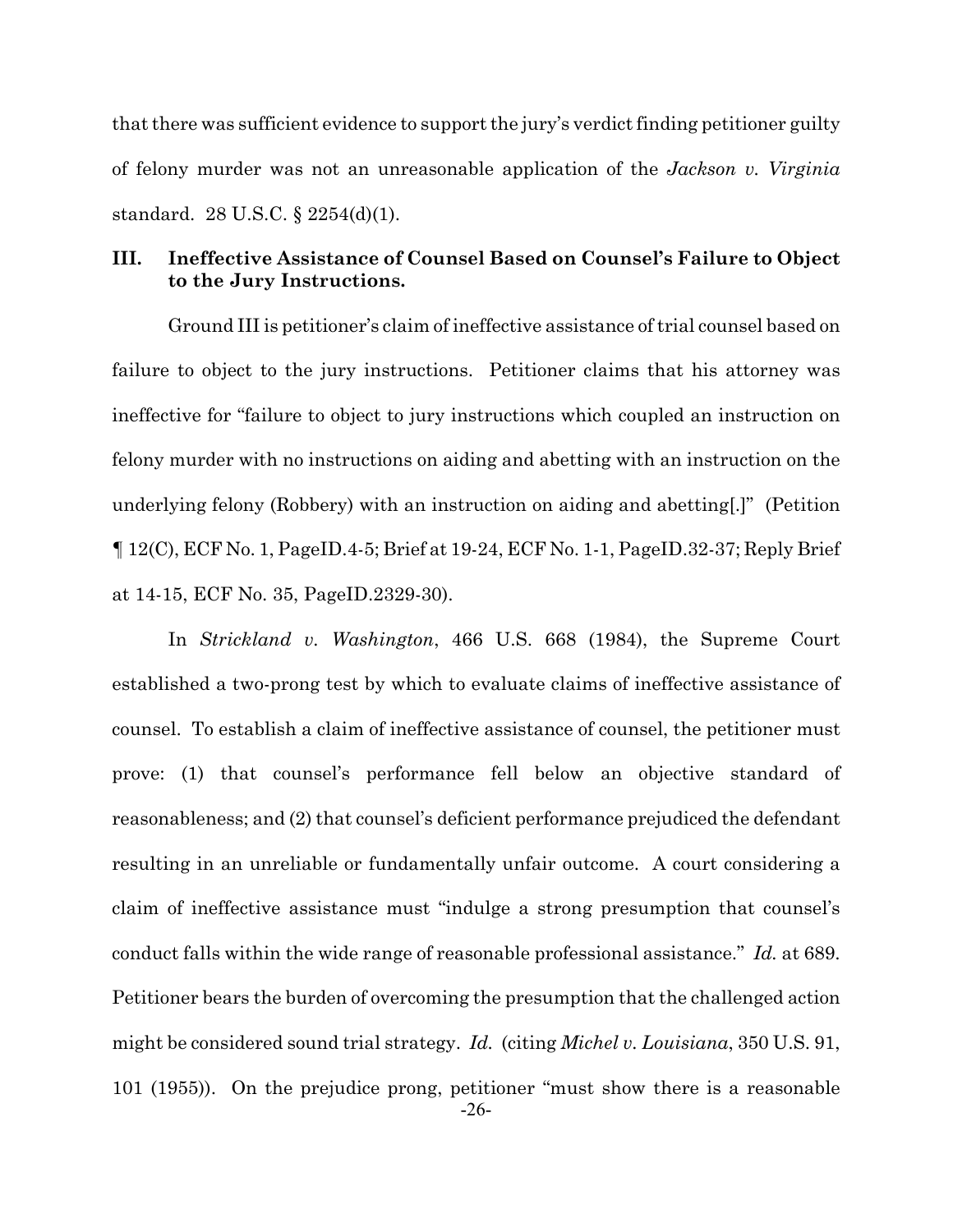that there was sufficient evidence to support the jury's verdict finding petitioner guilty of felony murder was not an unreasonable application of the *Jackson v. Virginia* standard. 28 U.S.C. § 2254(d)(1).

# **III. Ineffective Assistance of Counsel Based on Counsel's Failure to Object to the Jury Instructions.**

Ground III is petitioner's claim of ineffective assistance of trial counsel based on failure to object to the jury instructions. Petitioner claims that his attorney was ineffective for "failure to object to jury instructions which coupled an instruction on felony murder with no instructions on aiding and abetting with an instruction on the underlying felony (Robbery) with an instruction on aiding and abetting[.]" (Petition *¶* 12(C), ECF No. 1, PageID.4-5; Brief at 19-24, ECF No. 1-1, PageID.32-37; Reply Brief at 14-15, ECF No. 35, PageID.2329-30).

In *Strickland v. Washington*, 466 U.S. 668 (1984), the Supreme Court established a two-prong test by which to evaluate claims of ineffective assistance of counsel. To establish a claim of ineffective assistance of counsel, the petitioner must prove: (1) that counsel's performance fell below an objective standard of reasonableness; and (2) that counsel's deficient performance prejudiced the defendant resulting in an unreliable or fundamentally unfair outcome. A court considering a claim of ineffective assistance must "indulge a strong presumption that counsel's conduct falls within the wide range of reasonable professional assistance." *Id.* at 689. Petitioner bears the burden of overcoming the presumption that the challenged action might be considered sound trial strategy. *Id.* (citing *Michel v. Louisiana*, 350 U.S. 91, 101 (1955)). On the prejudice prong, petitioner "must show there is a reasonable -26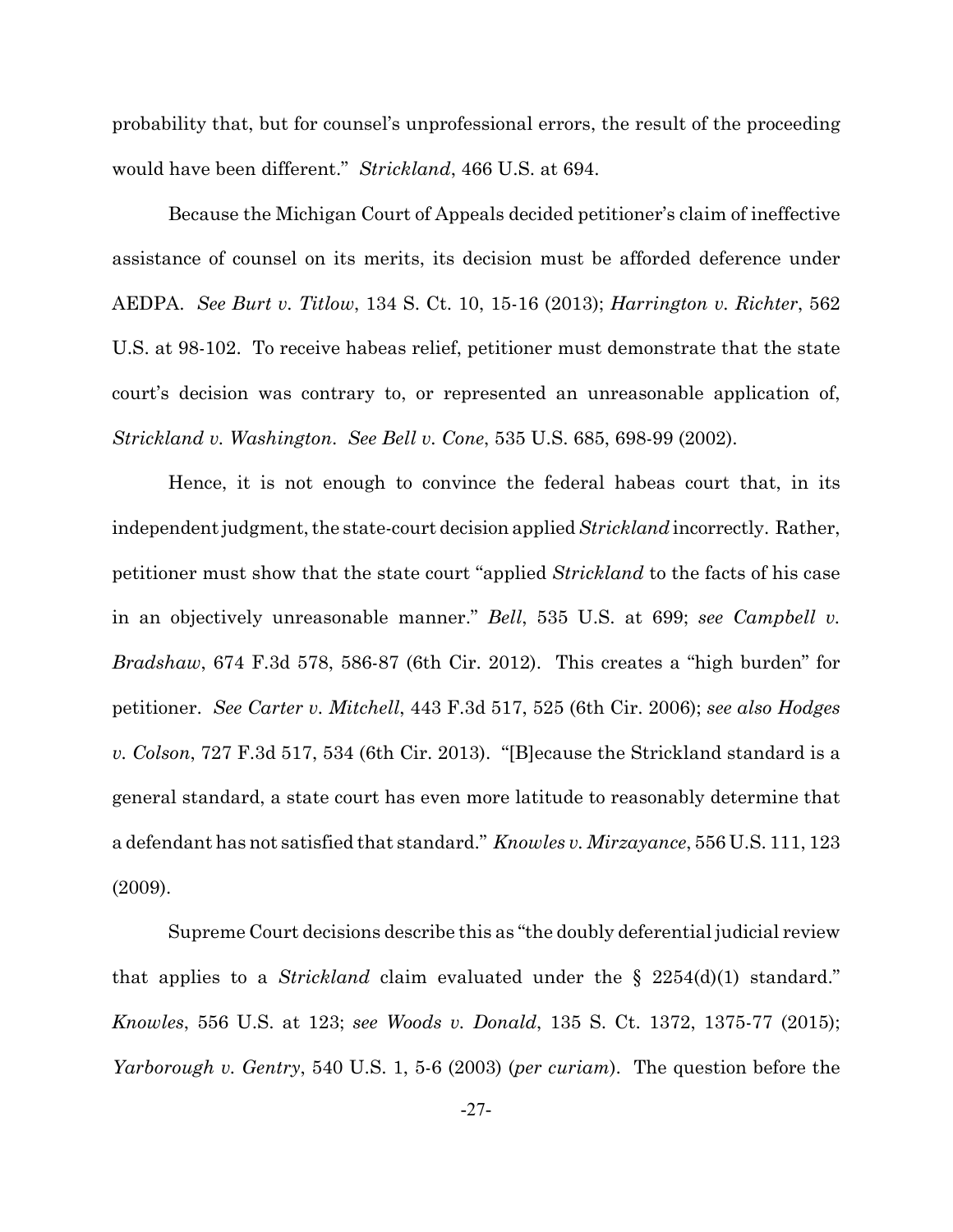probability that, but for counsel's unprofessional errors, the result of the proceeding would have been different." *Strickland*, 466 U.S. at 694.

Because the Michigan Court of Appeals decided petitioner's claim of ineffective assistance of counsel on its merits, its decision must be afforded deference under AEDPA. *See Burt v. Titlow*, 134 S. Ct. 10, 15-16 (2013); *Harrington v. Richter*, 562 U.S. at 98-102. To receive habeas relief, petitioner must demonstrate that the state court's decision was contrary to, or represented an unreasonable application of, *Strickland v. Washington*. *See Bell v. Cone*, 535 U.S. 685, 698-99 (2002).

Hence, it is not enough to convince the federal habeas court that, in its independent judgment, the state-court decision applied *Strickland* incorrectly. Rather, petitioner must show that the state court "applied *Strickland* to the facts of his case in an objectively unreasonable manner." *Bell*, 535 U.S. at 699; *see Campbell v. Bradshaw*, 674 F.3d 578, 586-87 (6th Cir. 2012). This creates a "high burden" for petitioner. *See Carter v. Mitchell*, 443 F.3d 517, 525 (6th Cir. 2006); *see also Hodges v. Colson*, 727 F.3d 517, 534 (6th Cir. 2013). "[B]ecause the Strickland standard is a general standard, a state court has even more latitude to reasonably determine that a defendant has not satisfied that standard." *Knowles v. Mirzayance*, 556 U.S. 111, 123 (2009).

Supreme Court decisions describe this as "the doubly deferential judicial review that applies to a *Strickland* claim evaluated under the § 2254(d)(1) standard." *Knowles*, 556 U.S. at 123; *see Woods v. Donald*, 135 S. Ct. 1372, 1375-77 (2015); *Yarborough v. Gentry*, 540 U.S. 1, 5-6 (2003) (*per curiam*). The question before the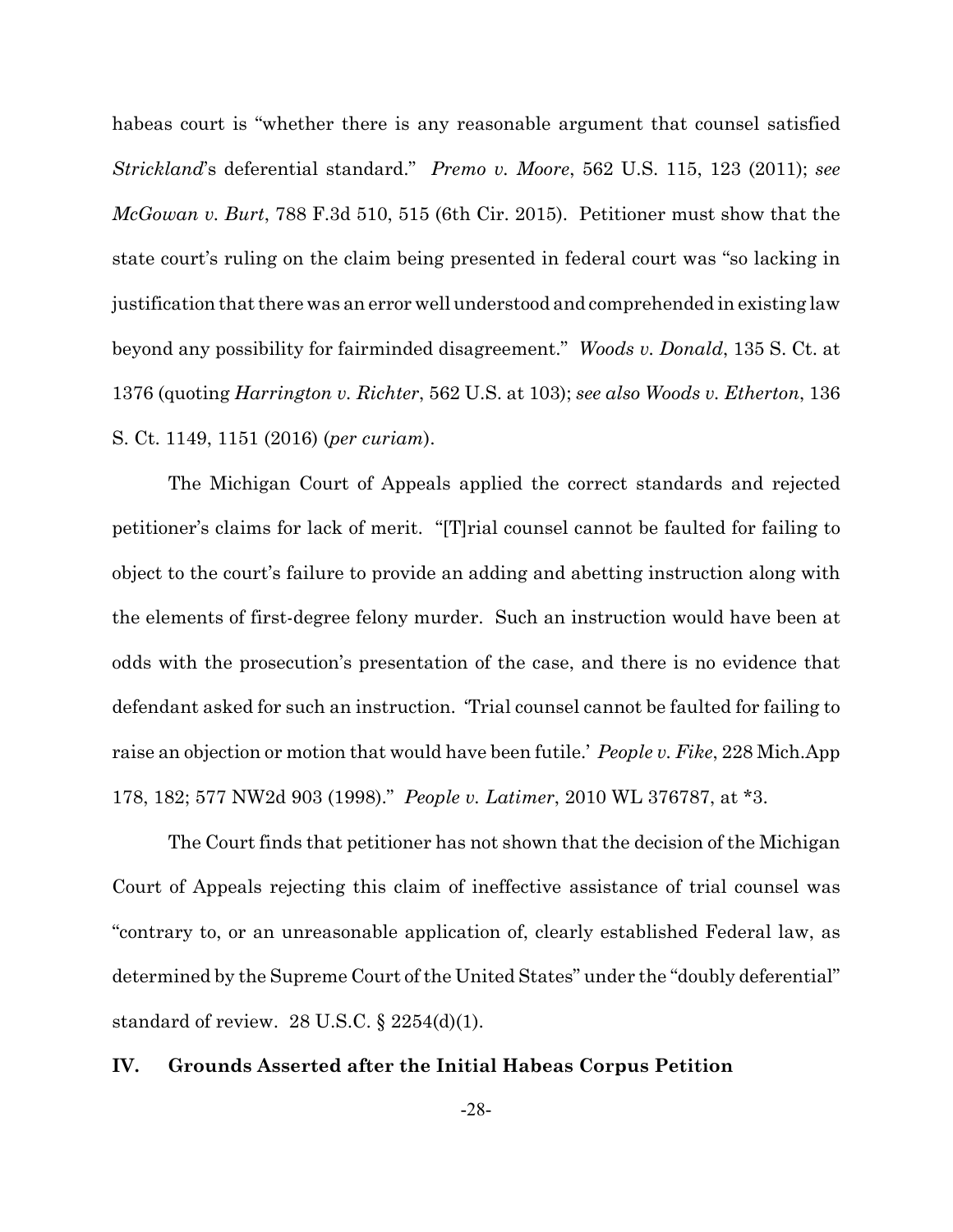habeas court is "whether there is any reasonable argument that counsel satisfied *Strickland*'s deferential standard." *Premo v. Moore*, 562 U.S. 115, 123 (2011); *see McGowan v. Burt*, 788 F.3d 510, 515 (6th Cir. 2015). Petitioner must show that the state court's ruling on the claim being presented in federal court was "so lacking in justification that there was an error well understood and comprehended in existing law beyond any possibility for fairminded disagreement." *Woods v. Donald*, 135 S. Ct. at 1376 (quoting *Harrington v. Richter*, 562 U.S. at 103); *see also Woods v. Etherton*, 136 S. Ct. 1149, 1151 (2016) (*per curiam*).

The Michigan Court of Appeals applied the correct standards and rejected petitioner's claims for lack of merit. "[T]rial counsel cannot be faulted for failing to object to the court's failure to provide an adding and abetting instruction along with the elements of first-degree felony murder. Such an instruction would have been at odds with the prosecution's presentation of the case, and there is no evidence that defendant asked for such an instruction. 'Trial counsel cannot be faulted for failing to raise an objection or motion that would have been futile.' *People v. Fike*, 228 Mich.App 178, 182; 577 NW2d 903 (1998)." *People v. Latimer*, 2010 WL 376787, at \*3.

The Court finds that petitioner has not shown that the decision of the Michigan Court of Appeals rejecting this claim of ineffective assistance of trial counsel was "contrary to, or an unreasonable application of, clearly established Federal law, as determined by the Supreme Court of the United States" under the "doubly deferential" standard of review. 28 U.S.C. § 2254(d)(1).

## **IV. Grounds Asserted after the Initial Habeas Corpus Petition**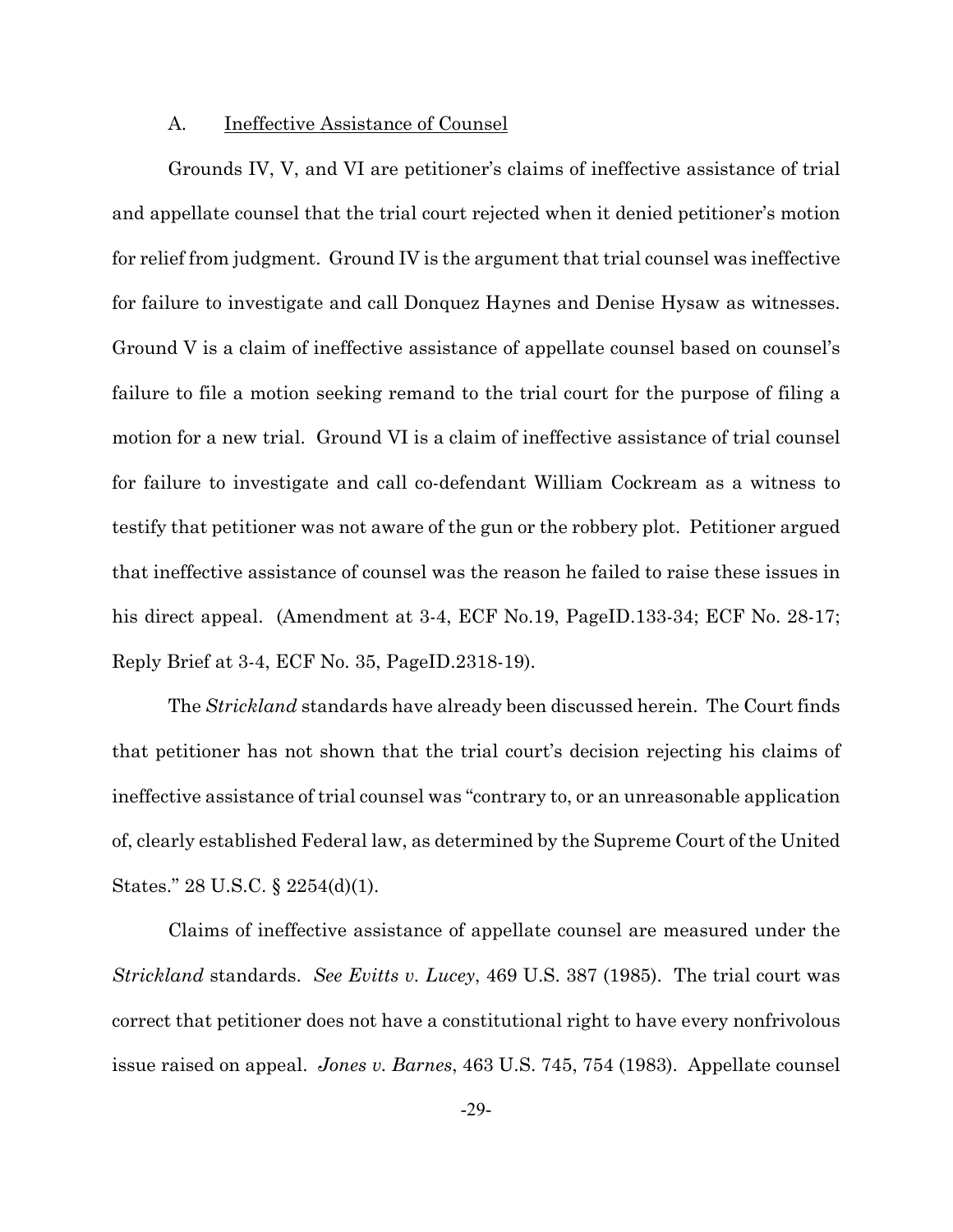#### A. Ineffective Assistance of Counsel

Grounds IV, V, and VI are petitioner's claims of ineffective assistance of trial and appellate counsel that the trial court rejected when it denied petitioner's motion for relief from judgment. Ground IV is the argument that trial counsel was ineffective for failure to investigate and call Donquez Haynes and Denise Hysaw as witnesses. Ground V is a claim of ineffective assistance of appellate counsel based on counsel's failure to file a motion seeking remand to the trial court for the purpose of filing a motion for a new trial. Ground VI is a claim of ineffective assistance of trial counsel for failure to investigate and call co-defendant William Cockream as a witness to testify that petitioner was not aware of the gun or the robbery plot. Petitioner argued that ineffective assistance of counsel was the reason he failed to raise these issues in his direct appeal. (Amendment at 3-4, ECF No.19, PageID.133-34; ECF No. 28-17; Reply Brief at 3-4, ECF No. 35, PageID.2318-19).

The *Strickland* standards have already been discussed herein. The Court finds that petitioner has not shown that the trial court's decision rejecting his claims of ineffective assistance of trial counsel was "contrary to, or an unreasonable application of, clearly established Federal law, as determined by the Supreme Court of the United States." 28 U.S.C. § 2254(d)(1).

Claims of ineffective assistance of appellate counsel are measured under the *Strickland* standards. *See Evitts v. Lucey*, 469 U.S. 387 (1985). The trial court was correct that petitioner does not have a constitutional right to have every nonfrivolous issue raised on appeal. *Jones v. Barnes*, 463 U.S. 745, 754 (1983). Appellate counsel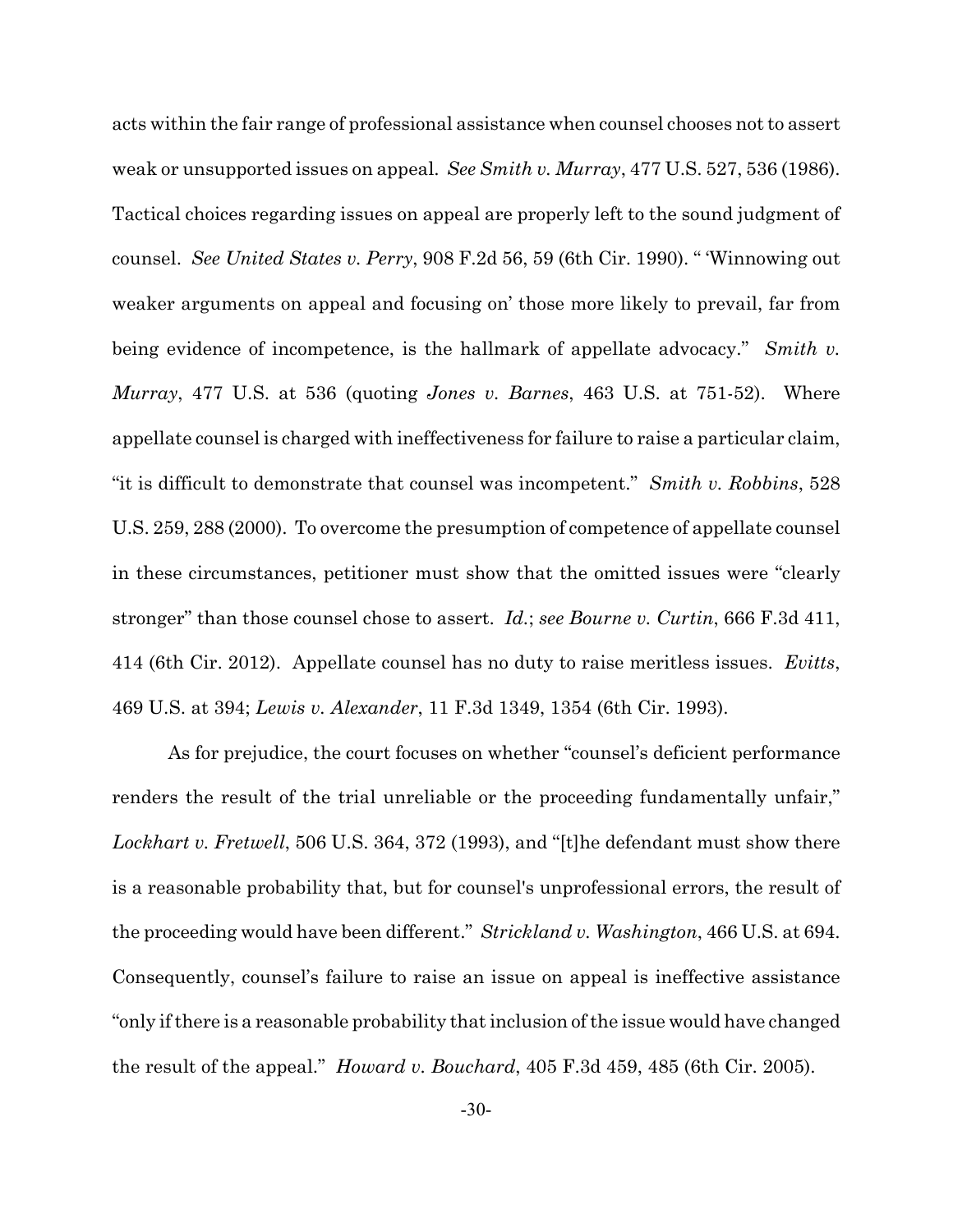acts within the fair range of professional assistance when counsel chooses not to assert weak or unsupported issues on appeal. *See Smith v. Murray*, 477 U.S. 527, 536 (1986). Tactical choices regarding issues on appeal are properly left to the sound judgment of counsel. *See United States v. Perry*, 908 F.2d 56, 59 (6th Cir. 1990). " 'Winnowing out weaker arguments on appeal and focusing on' those more likely to prevail, far from being evidence of incompetence, is the hallmark of appellate advocacy." *Smith v. Murray*, 477 U.S. at 536 (quoting *Jones v. Barnes*, 463 U.S. at 751-52). Where appellate counsel is charged with ineffectiveness for failure to raise a particular claim, "it is difficult to demonstrate that counsel was incompetent." *Smith v. Robbins*, 528 U.S. 259, 288 (2000). To overcome the presumption of competence of appellate counsel in these circumstances, petitioner must show that the omitted issues were "clearly stronger" than those counsel chose to assert. *Id.*; *see Bourne v. Curtin*, 666 F.3d 411, 414 (6th Cir. 2012). Appellate counsel has no duty to raise meritless issues. *Evitts*, 469 U.S. at 394; *Lewis v. Alexander*, 11 F.3d 1349, 1354 (6th Cir. 1993).

As for prejudice, the court focuses on whether "counsel's deficient performance renders the result of the trial unreliable or the proceeding fundamentally unfair," *Lockhart v. Fretwell*, 506 U.S. 364, 372 (1993), and "[t]he defendant must show there is a reasonable probability that, but for counsel's unprofessional errors, the result of the proceeding would have been different." *Strickland v. Washington*, 466 U.S. at 694. Consequently, counsel's failure to raise an issue on appeal is ineffective assistance "only if there is a reasonable probability that inclusion of the issue would have changed the result of the appeal." *Howard v. Bouchard*, 405 F.3d 459, 485 (6th Cir. 2005).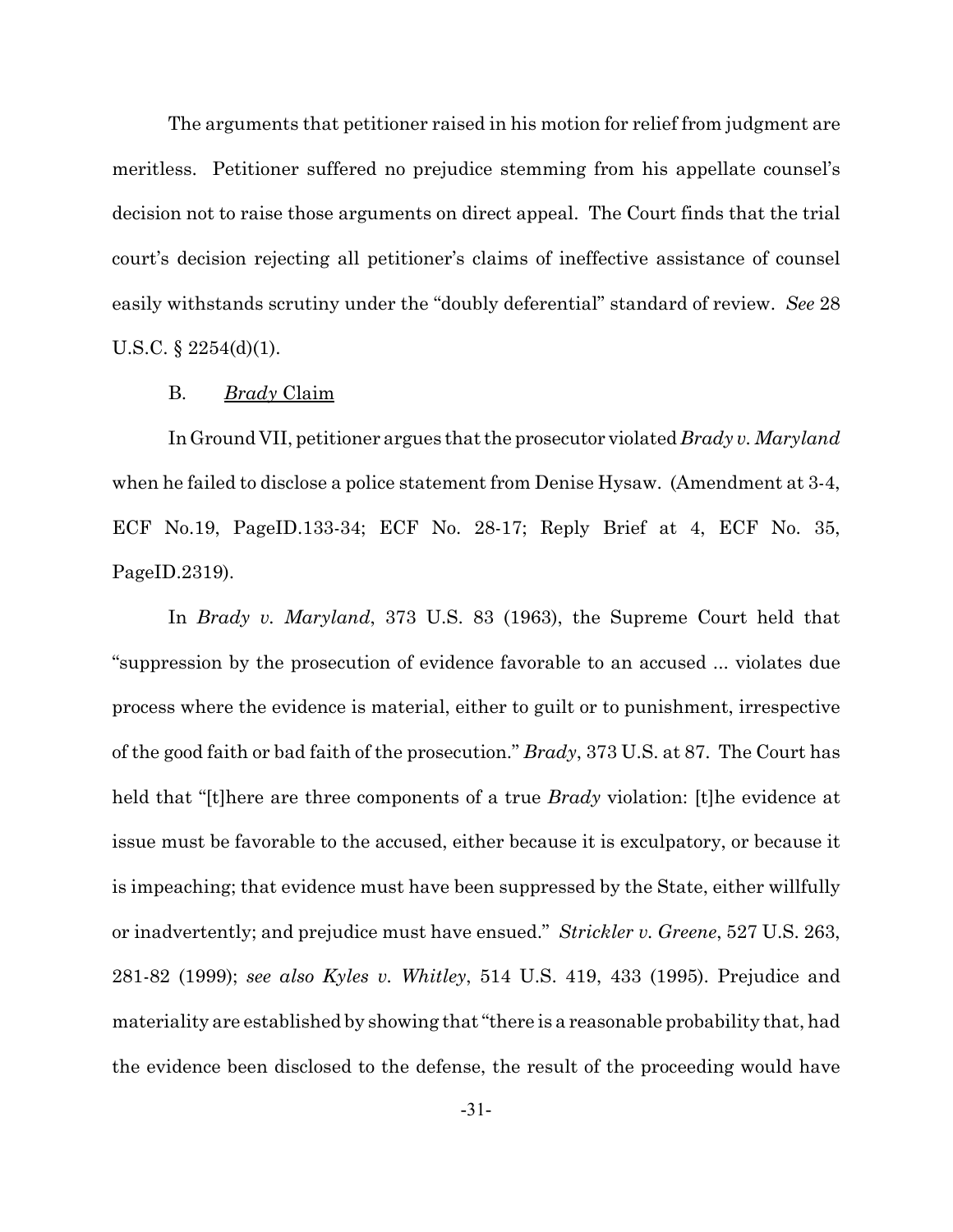The arguments that petitioner raised in his motion for relief from judgment are meritless. Petitioner suffered no prejudice stemming from his appellate counsel's decision not to raise those arguments on direct appeal. The Court finds that the trial court's decision rejecting all petitioner's claims of ineffective assistance of counsel easily withstands scrutiny under the "doubly deferential" standard of review. *See* 28 U.S.C. § 2254(d)(1).

### B. *Brady* Claim

In Ground VII, petitioner argues that the prosecutor violated *Brady v. Maryland* when he failed to disclose a police statement from Denise Hysaw. (Amendment at 3-4, ECF No.19, PageID.133-34; ECF No. 28-17; Reply Brief at 4, ECF No. 35, PageID.2319).

In *Brady v. Maryland*, 373 U.S. 83 (1963), the Supreme Court held that "suppression by the prosecution of evidence favorable to an accused ... violates due process where the evidence is material, either to guilt or to punishment, irrespective of the good faith or bad faith of the prosecution." *Brady*, 373 U.S. at 87. The Court has held that "[t]here are three components of a true *Brady* violation: [t]he evidence at issue must be favorable to the accused, either because it is exculpatory, or because it is impeaching; that evidence must have been suppressed by the State, either willfully or inadvertently; and prejudice must have ensued." *Strickler v. Greene*, 527 U.S. 263, 281-82 (1999); *see also Kyles v. Whitley*, 514 U.S. 419, 433 (1995). Prejudice and materiality are established by showing that "there is a reasonable probability that, had the evidence been disclosed to the defense, the result of the proceeding would have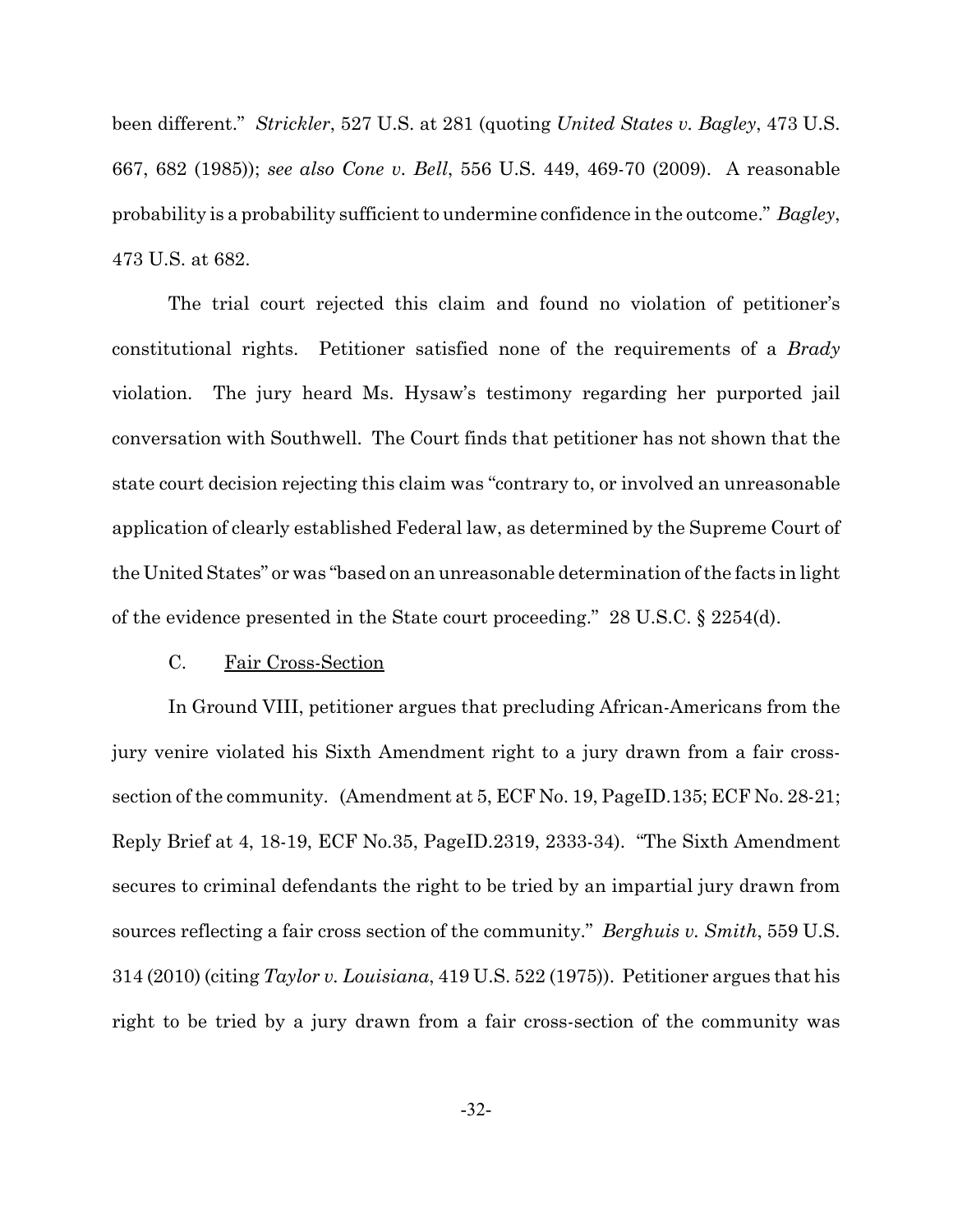been different." *Strickler*, 527 U.S. at 281 (quoting *United States v. Bagley*, 473 U.S. 667, 682 (1985)); *see also Cone v. Bell*, 556 U.S. 449, 469-70 (2009). A reasonable probability is a probability sufficient to undermine confidence in the outcome." *Bagley*, 473 U.S. at 682.

The trial court rejected this claim and found no violation of petitioner's constitutional rights. Petitioner satisfied none of the requirements of a *Brady* violation. The jury heard Ms. Hysaw's testimony regarding her purported jail conversation with Southwell. The Court finds that petitioner has not shown that the state court decision rejecting this claim was "contrary to, or involved an unreasonable application of clearly established Federal law, as determined by the Supreme Court of the United States" or was "based on an unreasonable determination of the facts in light of the evidence presented in the State court proceeding." 28 U.S.C. § 2254(d).

#### C. Fair Cross-Section

In Ground VIII, petitioner argues that precluding African-Americans from the jury venire violated his Sixth Amendment right to a jury drawn from a fair crosssection of the community. (Amendment at 5, ECF No. 19, PageID.135; ECF No. 28-21; Reply Brief at 4, 18-19, ECF No.35, PageID.2319, 2333-34). "The Sixth Amendment secures to criminal defendants the right to be tried by an impartial jury drawn from sources reflecting a fair cross section of the community." *Berghuis v. Smith*, 559 U.S. 314 (2010) (citing *Taylor v. Louisiana*, 419 U.S. 522 (1975)). Petitioner argues that his right to be tried by a jury drawn from a fair cross-section of the community was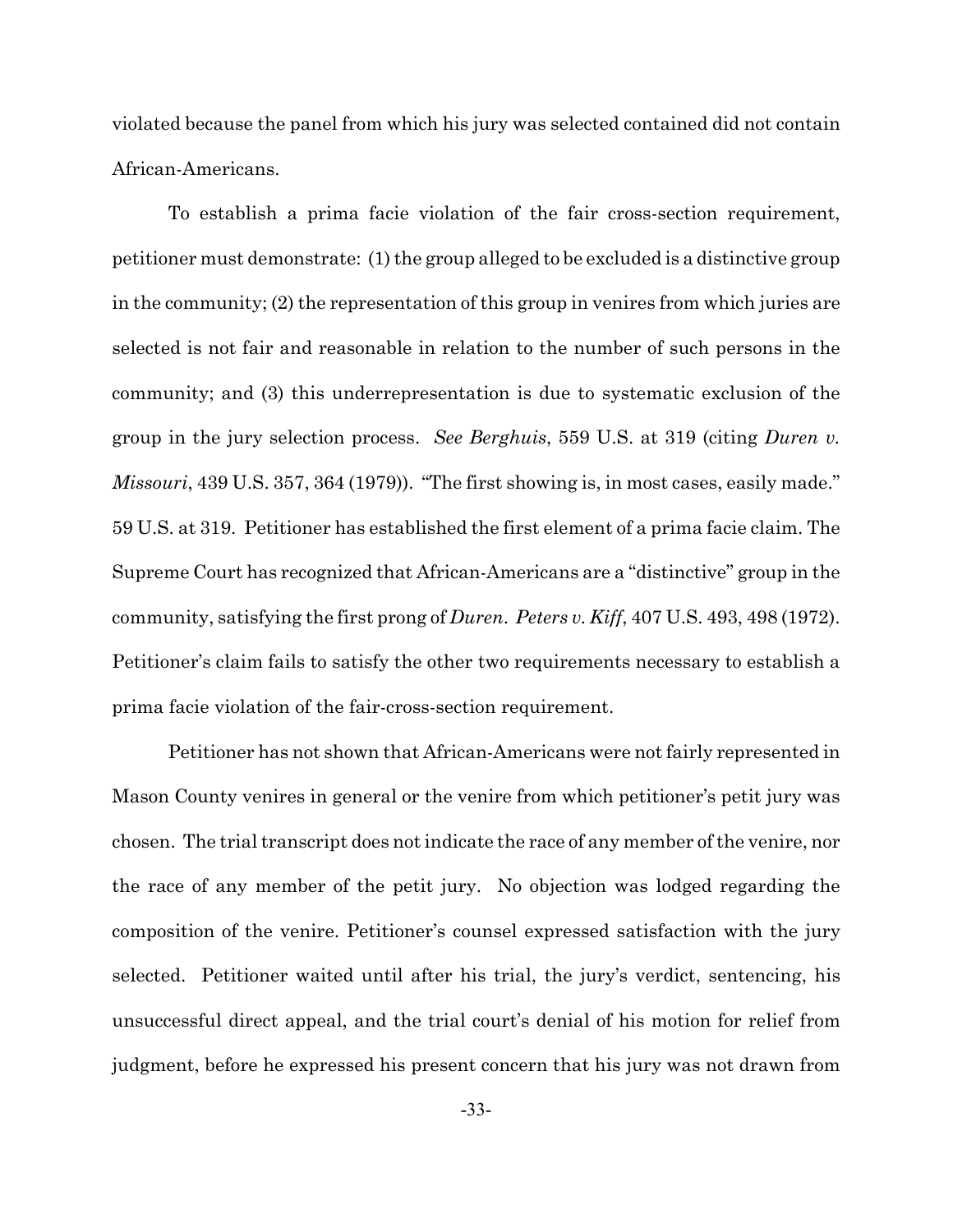violated because the panel from which his jury was selected contained did not contain African-Americans.

To establish a prima facie violation of the fair cross-section requirement, petitioner must demonstrate: (1) the group alleged to be excluded is a distinctive group in the community; (2) the representation of this group in venires from which juries are selected is not fair and reasonable in relation to the number of such persons in the community; and (3) this underrepresentation is due to systematic exclusion of the group in the jury selection process. *See Berghuis*, 559 U.S. at 319 (citing *Duren v. Missouri*, 439 U.S. 357, 364 (1979)). "The first showing is, in most cases, easily made." 59 U.S. at 319. Petitioner has established the first element of a prima facie claim. The Supreme Court has recognized that African-Americans are a "distinctive" group in the community, satisfying the first prong of *Duren*. *Peters v. Kiff*, 407 U.S. 493, 498 (1972). Petitioner's claim fails to satisfy the other two requirements necessary to establish a prima facie violation of the fair-cross-section requirement.

Petitioner has not shown that African-Americans were not fairly represented in Mason County venires in general or the venire from which petitioner's petit jury was chosen. The trial transcript does not indicate the race of any member of the venire, nor the race of any member of the petit jury. No objection was lodged regarding the composition of the venire. Petitioner's counsel expressed satisfaction with the jury selected. Petitioner waited until after his trial, the jury's verdict, sentencing, his unsuccessful direct appeal, and the trial court's denial of his motion for relief from judgment, before he expressed his present concern that his jury was not drawn from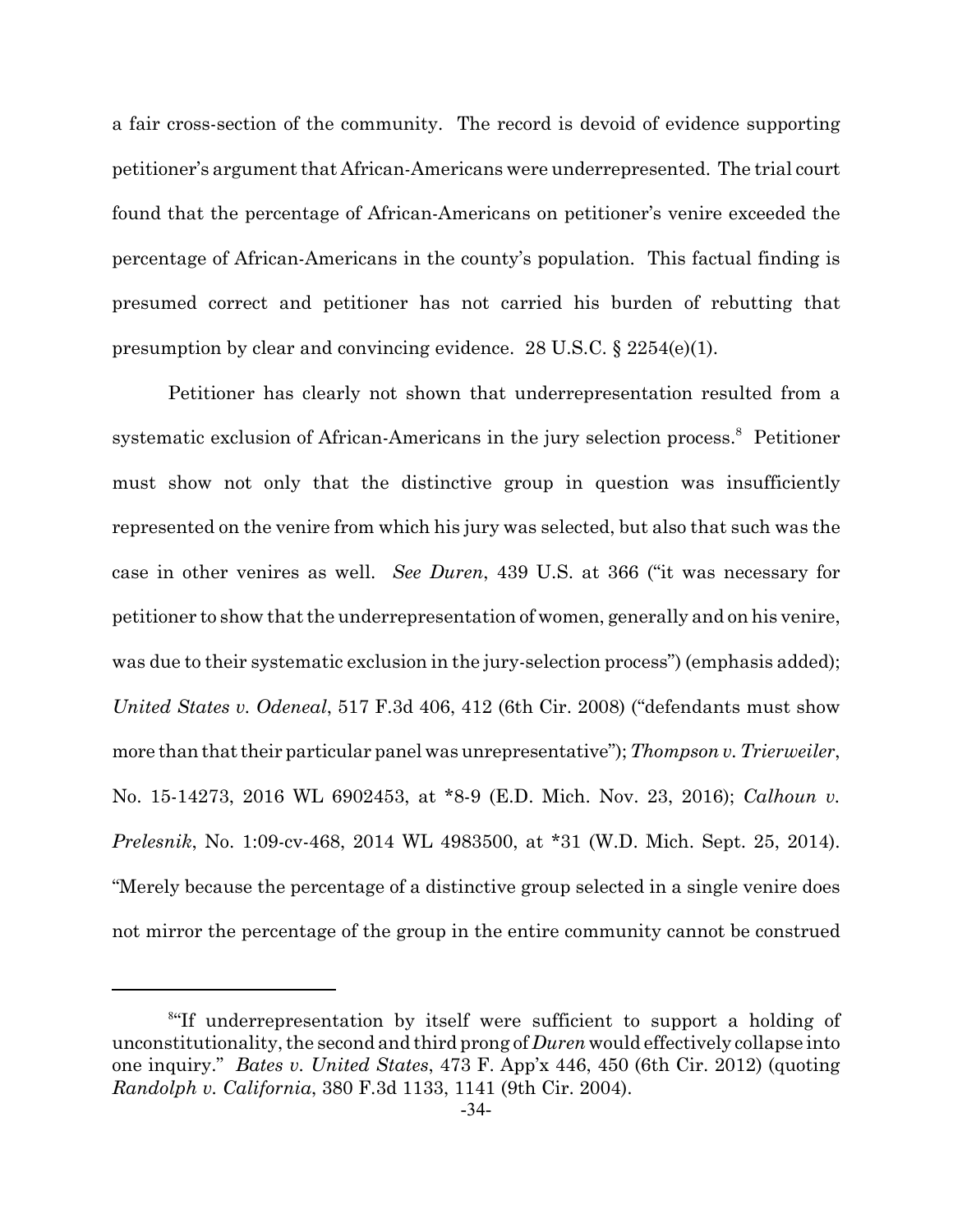a fair cross-section of the community. The record is devoid of evidence supporting petitioner's argument that African-Americans were underrepresented. The trial court found that the percentage of African-Americans on petitioner's venire exceeded the percentage of African-Americans in the county's population. This factual finding is presumed correct and petitioner has not carried his burden of rebutting that presumption by clear and convincing evidence. 28 U.S.C.  $\S 2254(e)(1)$ .

Petitioner has clearly not shown that underrepresentation resulted from a systematic exclusion of African-Americans in the jury selection process.<sup>8</sup> Petitioner must show not only that the distinctive group in question was insufficiently represented on the venire from which his jury was selected, but also that such was the case in other venires as well. *See Duren*, 439 U.S. at 366 ("it was necessary for petitioner to show that the underrepresentation of women, generally and on his venire, was due to their systematic exclusion in the jury-selection process" (emphasis added); *United States v. Odeneal*, 517 F.3d 406, 412 (6th Cir. 2008) ("defendants must show more than that their particular panel was unrepresentative"); *Thompson v. Trierweiler*, No. 15-14273, 2016 WL 6902453, at \*8-9 (E.D. Mich. Nov. 23, 2016); *Calhoun v. Prelesnik*, No. 1:09-cv-468, 2014 WL 4983500, at \*31 (W.D. Mich. Sept. 25, 2014). "Merely because the percentage of a distinctive group selected in a single venire does not mirror the percentage of the group in the entire community cannot be construed

<sup>8</sup> "If underrepresentation by itself were sufficient to support a holding of unconstitutionality, the second and third prong of *Duren* would effectively collapse into one inquiry." *Bates v. United States*, 473 F. App'x 446, 450 (6th Cir. 2012) (quoting *Randolph v. California*, 380 F.3d 1133, 1141 (9th Cir. 2004).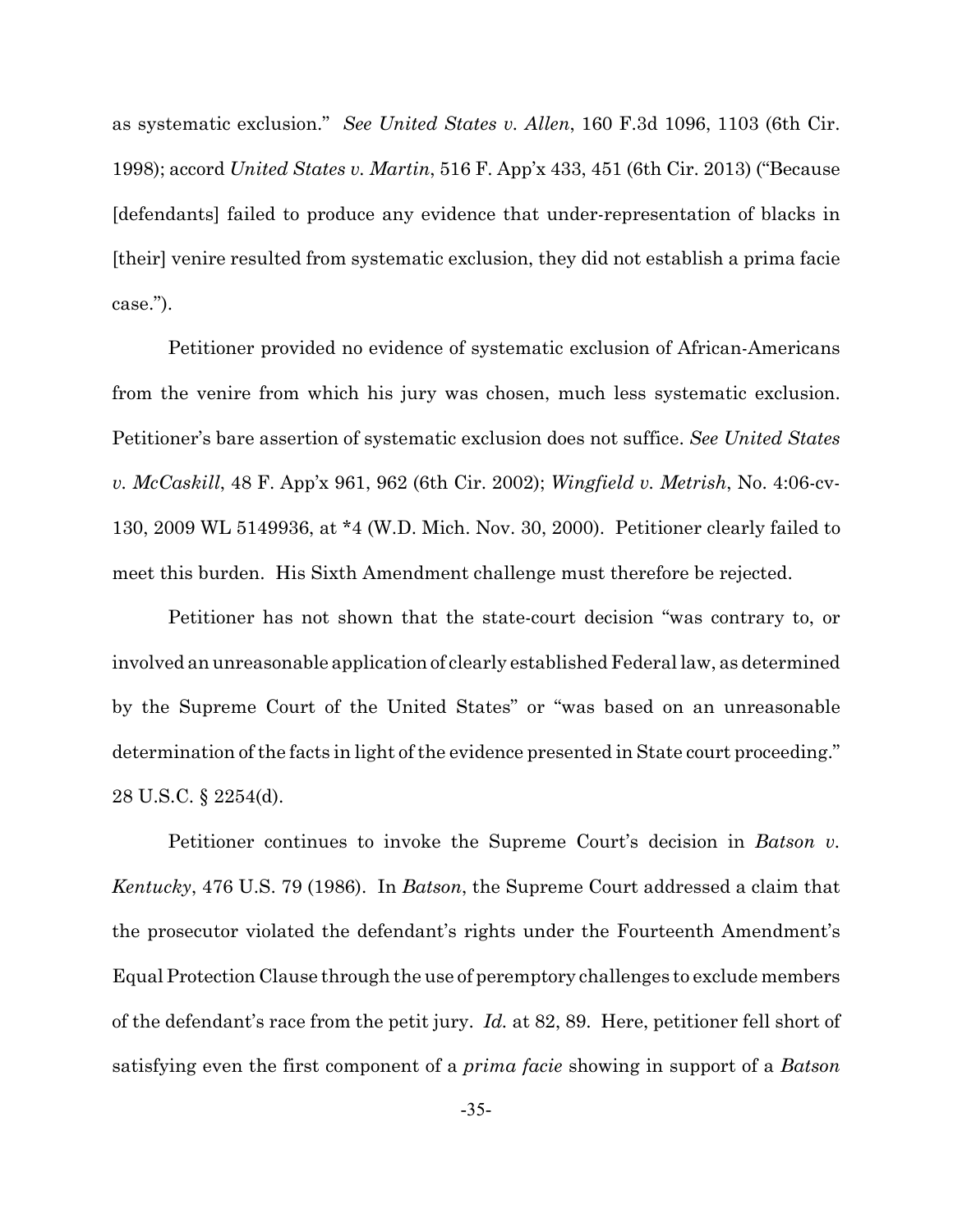as systematic exclusion." *See United States v. Allen*, 160 F.3d 1096, 1103 (6th Cir. 1998); accord *United States v. Martin*, 516 F. App'x 433, 451 (6th Cir. 2013) ("Because [defendants] failed to produce any evidence that under-representation of blacks in [their] venire resulted from systematic exclusion, they did not establish a prima facie case.").

Petitioner provided no evidence of systematic exclusion of African-Americans from the venire from which his jury was chosen, much less systematic exclusion. Petitioner's bare assertion of systematic exclusion does not suffice. *See United States v. McCaskill*, 48 F. App'x 961, 962 (6th Cir. 2002); *Wingfield v. Metrish*, No. 4:06-cv-130, 2009 WL 5149936, at \*4 (W.D. Mich. Nov. 30, 2000). Petitioner clearly failed to meet this burden. His Sixth Amendment challenge must therefore be rejected.

Petitioner has not shown that the state-court decision "was contrary to, or involved an unreasonable application of clearly established Federal law, as determined by the Supreme Court of the United States" or "was based on an unreasonable determination of the facts in light of the evidence presented in State court proceeding." 28 U.S.C. § 2254(d).

Petitioner continues to invoke the Supreme Court's decision in *Batson v. Kentucky*, 476 U.S. 79 (1986). In *Batson*, the Supreme Court addressed a claim that the prosecutor violated the defendant's rights under the Fourteenth Amendment's Equal Protection Clause through the use of peremptory challenges to exclude members of the defendant's race from the petit jury. *Id.* at 82, 89. Here, petitioner fell short of satisfying even the first component of a *prima facie* showing in support of a *Batson*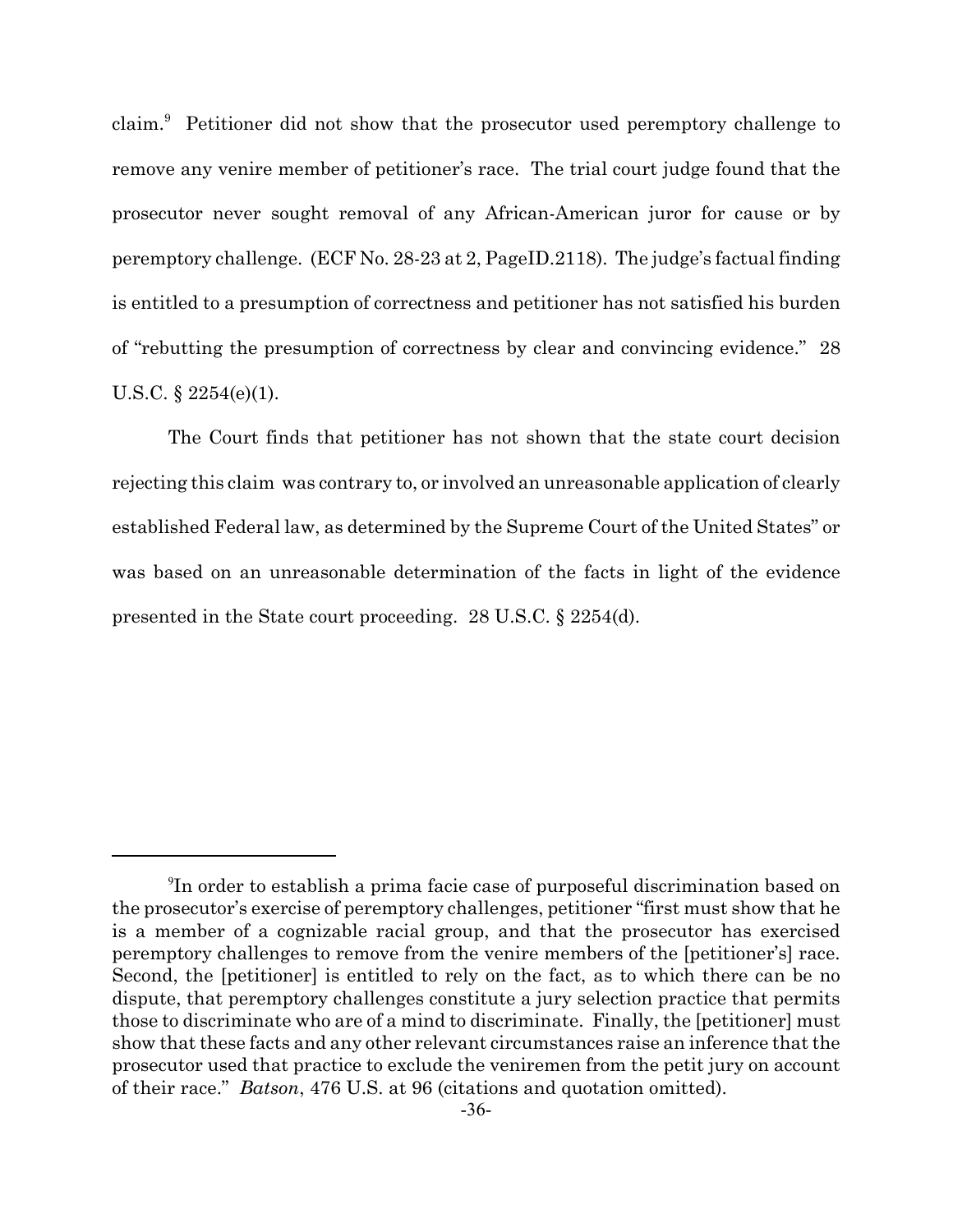claim.<sup>9</sup> Petitioner did not show that the prosecutor used peremptory challenge to remove any venire member of petitioner's race. The trial court judge found that the prosecutor never sought removal of any African-American juror for cause or by peremptory challenge. (ECF No. 28-23 at 2, PageID.2118). The judge's factual finding is entitled to a presumption of correctness and petitioner has not satisfied his burden of "rebutting the presumption of correctness by clear and convincing evidence." 28 U.S.C. § 2254(e)(1).

The Court finds that petitioner has not shown that the state court decision rejecting this claim was contrary to, or involved an unreasonable application of clearly established Federal law, as determined by the Supreme Court of the United States" or was based on an unreasonable determination of the facts in light of the evidence presented in the State court proceeding. 28 U.S.C. § 2254(d).

<sup>9</sup> In order to establish a prima facie case of purposeful discrimination based on the prosecutor's exercise of peremptory challenges, petitioner "first must show that he is a member of a cognizable racial group, and that the prosecutor has exercised peremptory challenges to remove from the venire members of the [petitioner's] race. Second, the [petitioner] is entitled to rely on the fact, as to which there can be no dispute, that peremptory challenges constitute a jury selection practice that permits those to discriminate who are of a mind to discriminate. Finally, the [petitioner] must show that these facts and any other relevant circumstances raise an inference that the prosecutor used that practice to exclude the veniremen from the petit jury on account of their race." *Batson*, 476 U.S. at 96 (citations and quotation omitted).